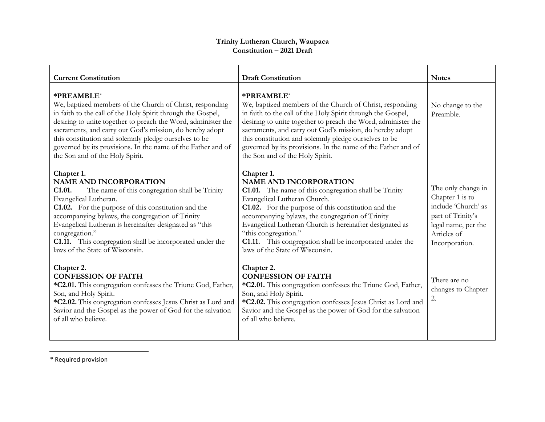## **Trinity Lutheran Church, Waupaca Constitution – 2021 Draft**

| <b>Current Constitution</b>                                                                                                                                                                                                                                                                                                                                                                                                    | <b>Draft Constitution</b>                                                                                                                                                                                                                                                                                                                                                                                                                 | <b>Notes</b>                                                                                                                              |
|--------------------------------------------------------------------------------------------------------------------------------------------------------------------------------------------------------------------------------------------------------------------------------------------------------------------------------------------------------------------------------------------------------------------------------|-------------------------------------------------------------------------------------------------------------------------------------------------------------------------------------------------------------------------------------------------------------------------------------------------------------------------------------------------------------------------------------------------------------------------------------------|-------------------------------------------------------------------------------------------------------------------------------------------|
| *PREAMBLE*<br>We, baptized members of the Church of Christ, responding<br>in faith to the call of the Holy Spirit through the Gospel,<br>desiring to unite together to preach the Word, administer the<br>sacraments, and carry out God's mission, do hereby adopt<br>this constitution and solemnly pledge ourselves to be<br>governed by its provisions. In the name of the Father and of<br>the Son and of the Holy Spirit. | *PREAMBLE*<br>We, baptized members of the Church of Christ, responding<br>in faith to the call of the Holy Spirit through the Gospel,<br>desiring to unite together to preach the Word, administer the<br>sacraments, and carry out God's mission, do hereby adopt<br>this constitution and solemnly pledge ourselves to be<br>governed by its provisions. In the name of the Father and of<br>the Son and of the Holy Spirit.            | No change to the<br>Preamble.                                                                                                             |
| Chapter 1.<br><b>NAME AND INCORPORATION</b><br>The name of this congregation shall be Trinity<br>C1.01.<br>Evangelical Lutheran.<br>C1.02. For the purpose of this constitution and the<br>accompanying bylaws, the congregation of Trinity<br>Evangelical Lutheran is hereinafter designated as "this<br>congregation."<br>C1.11. This congregation shall be incorporated under the<br>laws of the State of Wisconsin.        | Chapter 1.<br><b>NAME AND INCORPORATION</b><br><b>C1.01.</b> The name of this congregation shall be Trinity<br>Evangelical Lutheran Church.<br>C1.02. For the purpose of this constitution and the<br>accompanying bylaws, the congregation of Trinity<br>Evangelical Lutheran Church is hereinafter designated as<br>"this congregation."<br>C1.11. This congregation shall be incorporated under the<br>laws of the State of Wisconsin. | The only change in<br>Chapter 1 is to<br>include 'Church' as<br>part of Trinity's<br>legal name, per the<br>Articles of<br>Incorporation. |
| Chapter 2.<br><b>CONFESSION OF FAITH</b><br>*C2.01. This congregation confesses the Triune God, Father,<br>Son, and Holy Spirit.<br>*C2.02. This congregation confesses Jesus Christ as Lord and<br>Savior and the Gospel as the power of God for the salvation<br>of all who believe.                                                                                                                                         | Chapter 2.<br><b>CONFESSION OF FAITH</b><br>*C2.01. This congregation confesses the Triune God, Father,<br>Son, and Holy Spirit.<br>*C2.02. This congregation confesses Jesus Christ as Lord and<br>Savior and the Gospel as the power of God for the salvation<br>of all who believe.                                                                                                                                                    | There are no<br>changes to Chapter<br>2.                                                                                                  |

\* Required provision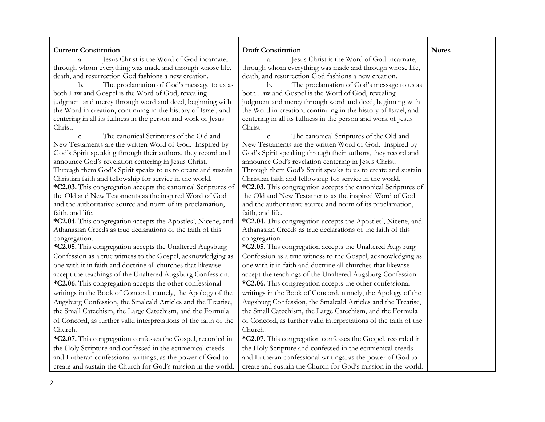| <b>Current Constitution</b>                                                                                      | <b>Draft Constitution</b>                                                                                | <b>Notes</b> |
|------------------------------------------------------------------------------------------------------------------|----------------------------------------------------------------------------------------------------------|--------------|
| Jesus Christ is the Word of God incarnate,<br>$a_{\cdot}$                                                        | Jesus Christ is the Word of God incarnate,<br>$a_{\cdot}$                                                |              |
| through whom everything was made and through whose life,<br>death, and resurrection God fashions a new creation. | through whom everything was made and through whose life,                                                 |              |
| b.                                                                                                               | death, and resurrection God fashions a new creation.<br>The proclamation of God's message to us as<br>b. |              |
| The proclamation of God's message to us as<br>both Law and Gospel is the Word of God, revealing                  | both Law and Gospel is the Word of God, revealing                                                        |              |
| judgment and mercy through word and deed, beginning with                                                         | judgment and mercy through word and deed, beginning with                                                 |              |
| the Word in creation, continuing in the history of Israel, and                                                   | the Word in creation, continuing in the history of Israel, and                                           |              |
| centering in all its fullness in the person and work of Jesus                                                    | centering in all its fullness in the person and work of Jesus                                            |              |
| Christ.                                                                                                          | Christ.                                                                                                  |              |
| The canonical Scriptures of the Old and<br>c.                                                                    | The canonical Scriptures of the Old and<br>c.                                                            |              |
| New Testaments are the written Word of God. Inspired by                                                          | New Testaments are the written Word of God. Inspired by                                                  |              |
| God's Spirit speaking through their authors, they record and                                                     | God's Spirit speaking through their authors, they record and                                             |              |
| announce God's revelation centering in Jesus Christ.                                                             | announce God's revelation centering in Jesus Christ.                                                     |              |
| Through them God's Spirit speaks to us to create and sustain                                                     | Through them God's Spirit speaks to us to create and sustain                                             |              |
| Christian faith and fellowship for service in the world.                                                         | Christian faith and fellowship for service in the world.                                                 |              |
| *C2.03. This congregation accepts the canonical Scriptures of                                                    | *C2.03. This congregation accepts the canonical Scriptures of                                            |              |
| the Old and New Testaments as the inspired Word of God                                                           | the Old and New Testaments as the inspired Word of God                                                   |              |
| and the authoritative source and norm of its proclamation,                                                       | and the authoritative source and norm of its proclamation,                                               |              |
| faith, and life.                                                                                                 | faith, and life.                                                                                         |              |
| *C2.04. This congregation accepts the Apostles', Nicene, and                                                     | *C2.04. This congregation accepts the Apostles', Nicene, and                                             |              |
| Athanasian Creeds as true declarations of the faith of this                                                      | Athanasian Creeds as true declarations of the faith of this                                              |              |
| congregation.                                                                                                    | congregation.                                                                                            |              |
| *C2.05. This congregation accepts the Unaltered Augsburg                                                         | *C2.05. This congregation accepts the Unaltered Augsburg                                                 |              |
| Confession as a true witness to the Gospel, acknowledging as                                                     | Confession as a true witness to the Gospel, acknowledging as                                             |              |
| one with it in faith and doctrine all churches that likewise                                                     | one with it in faith and doctrine all churches that likewise                                             |              |
| accept the teachings of the Unaltered Augsburg Confession.                                                       | accept the teachings of the Unaltered Augsburg Confession.                                               |              |
| *C2.06. This congregation accepts the other confessional                                                         | *C2.06. This congregation accepts the other confessional                                                 |              |
| writings in the Book of Concord, namely, the Apology of the                                                      | writings in the Book of Concord, namely, the Apology of the                                              |              |
| Augsburg Confession, the Smalcald Articles and the Treatise,                                                     | Augsburg Confession, the Smalcald Articles and the Treatise,                                             |              |
| the Small Catechism, the Large Catechism, and the Formula                                                        | the Small Catechism, the Large Catechism, and the Formula                                                |              |
| of Concord, as further valid interpretations of the faith of the                                                 | of Concord, as further valid interpretations of the faith of the                                         |              |
| Church.                                                                                                          | Church.                                                                                                  |              |
| *C2.07. This congregation confesses the Gospel, recorded in                                                      | *C2.07. This congregation confesses the Gospel, recorded in                                              |              |
| the Holy Scripture and confessed in the ecumenical creeds                                                        | the Holy Scripture and confessed in the ecumenical creeds                                                |              |
| and Lutheran confessional writings, as the power of God to                                                       | and Lutheran confessional writings, as the power of God to                                               |              |
| create and sustain the Church for God's mission in the world.                                                    | create and sustain the Church for God's mission in the world.                                            |              |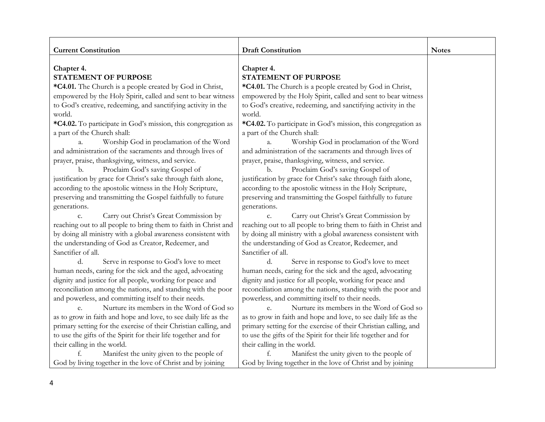| <b>Current Constitution</b>                                      | <b>Draft Constitution</b>                                        | <b>Notes</b> |
|------------------------------------------------------------------|------------------------------------------------------------------|--------------|
|                                                                  |                                                                  |              |
| Chapter 4.                                                       | Chapter 4.                                                       |              |
| <b>STATEMENT OF PURPOSE</b>                                      | <b>STATEMENT OF PURPOSE</b>                                      |              |
| *C4.01. The Church is a people created by God in Christ,         | *C4.01. The Church is a people created by God in Christ,         |              |
| empowered by the Holy Spirit, called and sent to bear witness    | empowered by the Holy Spirit, called and sent to bear witness    |              |
| to God's creative, redeeming, and sanctifying activity in the    | to God's creative, redeeming, and sanctifying activity in the    |              |
| world.                                                           | world.                                                           |              |
| *C4.02. To participate in God's mission, this congregation as    | *C4.02. To participate in God's mission, this congregation as    |              |
| a part of the Church shall:                                      | a part of the Church shall:                                      |              |
| Worship God in proclamation of the Word<br>a.                    | Worship God in proclamation of the Word<br>a.                    |              |
| and administration of the sacraments and through lives of        | and administration of the sacraments and through lives of        |              |
| prayer, praise, thanksgiving, witness, and service.              | prayer, praise, thanksgiving, witness, and service.              |              |
| Proclaim God's saving Gospel of<br>b.                            | Proclaim God's saving Gospel of<br>b.                            |              |
| justification by grace for Christ's sake through faith alone,    | justification by grace for Christ's sake through faith alone,    |              |
| according to the apostolic witness in the Holy Scripture,        | according to the apostolic witness in the Holy Scripture,        |              |
| preserving and transmitting the Gospel faithfully to future      | preserving and transmitting the Gospel faithfully to future      |              |
| generations.                                                     | generations.                                                     |              |
| Carry out Christ's Great Commission by<br>C.                     | Carry out Christ's Great Commission by<br>c.                     |              |
| reaching out to all people to bring them to faith in Christ and  | reaching out to all people to bring them to faith in Christ and  |              |
| by doing all ministry with a global awareness consistent with    | by doing all ministry with a global awareness consistent with    |              |
| the understanding of God as Creator, Redeemer, and               | the understanding of God as Creator, Redeemer, and               |              |
| Sanctifier of all.                                               | Sanctifier of all.                                               |              |
| d.<br>Serve in response to God's love to meet                    | d.<br>Serve in response to God's love to meet                    |              |
| human needs, caring for the sick and the aged, advocating        | human needs, caring for the sick and the aged, advocating        |              |
| dignity and justice for all people, working for peace and        | dignity and justice for all people, working for peace and        |              |
| reconciliation among the nations, and standing with the poor     | reconciliation among the nations, standing with the poor and     |              |
| and powerless, and committing itself to their needs.             | powerless, and committing itself to their needs.                 |              |
| Nurture its members in the Word of God so                        | Nurture its members in the Word of God so                        |              |
| as to grow in faith and hope and love, to see daily life as the  | as to grow in faith and hope and love, to see daily life as the  |              |
| primary setting for the exercise of their Christian calling, and | primary setting for the exercise of their Christian calling, and |              |
| to use the gifts of the Spirit for their life together and for   | to use the gifts of the Spirit for their life together and for   |              |
| their calling in the world.                                      | their calling in the world.                                      |              |
| Manifest the unity given to the people of                        | Manifest the unity given to the people of                        |              |
| God by living together in the love of Christ and by joining      | God by living together in the love of Christ and by joining      |              |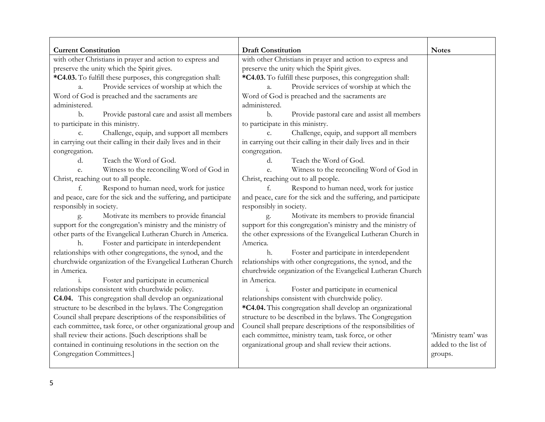| <b>Current Constitution</b>                                     | <b>Draft Constitution</b>                                       | <b>Notes</b>         |
|-----------------------------------------------------------------|-----------------------------------------------------------------|----------------------|
| with other Christians in prayer and action to express and       | with other Christians in prayer and action to express and       |                      |
| preserve the unity which the Spirit gives.                      | preserve the unity which the Spirit gives.                      |                      |
| *C4.03. To fulfill these purposes, this congregation shall:     | *C4.03. To fulfill these purposes, this congregation shall:     |                      |
| Provide services of worship at which the<br>a.                  | Provide services of worship at which the<br>a.                  |                      |
| Word of God is preached and the sacraments are                  | Word of God is preached and the sacraments are                  |                      |
| administered.                                                   | administered.                                                   |                      |
| Provide pastoral care and assist all members<br>b.              | Provide pastoral care and assist all members<br>b.              |                      |
| to participate in this ministry.                                | to participate in this ministry.                                |                      |
| Challenge, equip, and support all members<br>$C_{\bullet}$      | Challenge, equip, and support all members<br>$C_{\bullet}$      |                      |
| in carrying out their calling in their daily lives and in their | in carrying out their calling in their daily lives and in their |                      |
| congregation.                                                   | congregation.                                                   |                      |
| Teach the Word of God.<br>d.                                    | d.<br>Teach the Word of God.                                    |                      |
| Witness to the reconciling Word of God in<br>e.                 | Witness to the reconciling Word of God in<br>e.                 |                      |
| Christ, reaching out to all people.                             | Christ, reaching out to all people.                             |                      |
| Respond to human need, work for justice<br>f.                   | Respond to human need, work for justice<br>f.                   |                      |
| and peace, care for the sick and the suffering, and participate | and peace, care for the sick and the suffering, and participate |                      |
| responsibly in society.                                         | responsibly in society.                                         |                      |
| Motivate its members to provide financial<br>g.                 | Motivate its members to provide financial<br>g.                 |                      |
| support for the congregation's ministry and the ministry of     | support for this congregation's ministry and the ministry of    |                      |
| other parts of the Evangelical Lutheran Church in America.      | the other expressions of the Evangelical Lutheran Church in     |                      |
| Foster and participate in interdependent<br>h.                  | America.                                                        |                      |
| relationships with other congregations, the synod, and the      | Foster and participate in interdependent<br>h.                  |                      |
| churchwide organization of the Evangelical Lutheran Church      | relationships with other congregations, the synod, and the      |                      |
| in America.                                                     | churchwide organization of the Evangelical Lutheran Church      |                      |
| Foster and participate in ecumenical                            | in America.                                                     |                      |
| relationships consistent with churchwide policy.                | Foster and participate in ecumenical                            |                      |
| C4.04. This congregation shall develop an organizational        | relationships consistent with churchwide policy.                |                      |
| structure to be described in the bylaws. The Congregation       | *C4.04. This congregation shall develop an organizational       |                      |
| Council shall prepare descriptions of the responsibilities of   | structure to be described in the bylaws. The Congregation       |                      |
| each committee, task force, or other organizational group and   | Council shall prepare descriptions of the responsibilities of   |                      |
| shall review their actions. [Such descriptions shall be         | each committee, ministry team, task force, or other             | 'Ministry team' was  |
| contained in continuing resolutions in the section on the       | organizational group and shall review their actions.            | added to the list of |
| Congregation Committees.]                                       |                                                                 | groups.              |
|                                                                 |                                                                 |                      |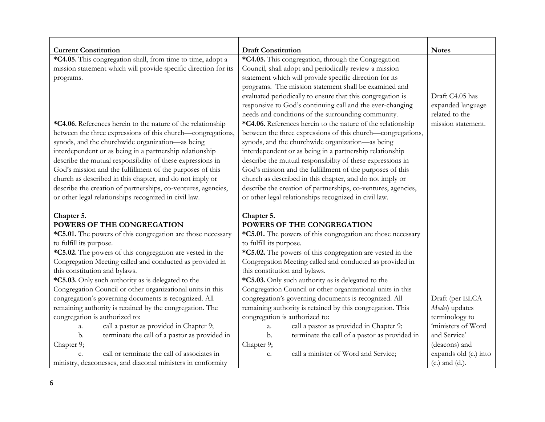| <b>Current Constitution</b>                                     | <b>Draft Constitution</b>                                     | <b>Notes</b>          |
|-----------------------------------------------------------------|---------------------------------------------------------------|-----------------------|
| *C4.05. This congregation shall, from time to time, adopt a     | *C4.05. This congregation, through the Congregation           |                       |
| mission statement which will provide specific direction for its | Council, shall adopt and periodically review a mission        |                       |
| programs.                                                       | statement which will provide specific direction for its       |                       |
|                                                                 | programs. The mission statement shall be examined and         |                       |
|                                                                 | evaluated periodically to ensure that this congregation is    | Draft C4.05 has       |
|                                                                 | responsive to God's continuing call and the ever-changing     | expanded language     |
|                                                                 | needs and conditions of the surrounding community.            | related to the        |
| *C4.06. References herein to the nature of the relationship     | *C4.06. References herein to the nature of the relationship   | mission statement.    |
| between the three expressions of this church—congregations,     | between the three expressions of this church—congregations,   |                       |
| synods, and the churchwide organization-as being                | synods, and the churchwide organization-as being              |                       |
| interdependent or as being in a partnership relationship        | interdependent or as being in a partnership relationship      |                       |
| describe the mutual responsibility of these expressions in      | describe the mutual responsibility of these expressions in    |                       |
| God's mission and the fulfillment of the purposes of this       | God's mission and the fulfillment of the purposes of this     |                       |
| church as described in this chapter, and do not imply or        | church as described in this chapter, and do not imply or      |                       |
| describe the creation of partnerships, co-ventures, agencies,   | describe the creation of partnerships, co-ventures, agencies, |                       |
| or other legal relationships recognized in civil law.           | or other legal relationships recognized in civil law.         |                       |
| Chapter 5.                                                      | Chapter 5.                                                    |                       |
| POWERS OF THE CONGREGATION                                      | POWERS OF THE CONGREGATION                                    |                       |
| *C5.01. The powers of this congregation are those necessary     | *C5.01. The powers of this congregation are those necessary   |                       |
| to fulfill its purpose.                                         | to fulfill its purpose.                                       |                       |
| *C5.02. The powers of this congregation are vested in the       | *C5.02. The powers of this congregation are vested in the     |                       |
| Congregation Meeting called and conducted as provided in        | Congregation Meeting called and conducted as provided in      |                       |
| this constitution and bylaws.                                   | this constitution and bylaws.                                 |                       |
| *C5.03. Only such authority as is delegated to the              | *C5.03. Only such authority as is delegated to the            |                       |
| Congregation Council or other organizational units in this      | Congregation Council or other organizational units in this    |                       |
| congregation's governing documents is recognized. All           | congregation's governing documents is recognized. All         | Draft (per ELCA       |
| remaining authority is retained by the congregation. The        | remaining authority is retained by this congregation. This    | Model) updates        |
| congregation is authorized to:                                  | congregation is authorized to:                                | terminology to        |
| call a pastor as provided in Chapter 9;<br>a.                   | call a pastor as provided in Chapter 9;<br>a.                 | 'ministers of Word    |
| terminate the call of a pastor as provided in<br>b.             | terminate the call of a pastor as provided in<br>b.           | and Service'          |
| Chapter 9;                                                      | Chapter 9;                                                    | (deacons) and         |
| call or terminate the call of associates in<br>$\mathcal{C}$    | call a minister of Word and Service;<br>c.                    | expands old (c.) into |
| ministry, deaconesses, and diaconal ministers in conformity     |                                                               | $(c.)$ and $(d.).$    |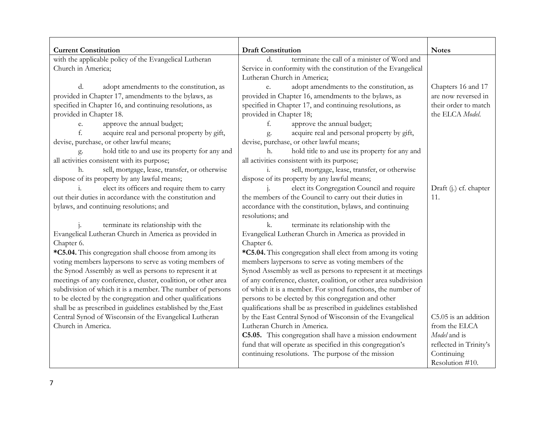| <b>Current Constitution</b>                                    | <b>Draft Constitution</b><br>terminate the call of a minister of Word and | <b>Notes</b>           |
|----------------------------------------------------------------|---------------------------------------------------------------------------|------------------------|
| with the applicable policy of the Evangelical Lutheran         | <sub>d</sub>                                                              |                        |
| Church in America;                                             | Service in conformity with the constitution of the Evangelical            |                        |
|                                                                | Lutheran Church in America;                                               |                        |
| d.<br>adopt amendments to the constitution, as                 | adopt amendments to the constitution, as<br>e.                            | Chapters 16 and 17     |
| provided in Chapter 17, amendments to the bylaws, as           | provided in Chapter 16, amendments to the bylaws, as                      | are now reversed in    |
| specified in Chapter 16, and continuing resolutions, as        | specified in Chapter 17, and continuing resolutions, as                   | their order to match   |
| provided in Chapter 18.                                        | provided in Chapter 18;                                                   | the ELCA Model.        |
| approve the annual budget;<br>e.                               | approve the annual budget;<br>f.                                          |                        |
| f.<br>acquire real and personal property by gift,              | acquire real and personal property by gift,<br>g.                         |                        |
| devise, purchase, or other lawful means;                       | devise, purchase, or other lawful means;                                  |                        |
| hold title to and use its property for any and<br>g.           | hold title to and use its property for any and<br>h.                      |                        |
| all activities consistent with its purpose;                    | all activities consistent with its purpose;                               |                        |
| sell, mortgage, lease, transfer, or otherwise<br>h.            | sell, mortgage, lease, transfer, or otherwise<br>1.                       |                        |
| dispose of its property by any lawful means;                   | dispose of its property by any lawful means;                              |                        |
| elect its officers and require them to carry<br>$\mathbf{i}$ . | elect its Congregation Council and require                                | Draft (j.) cf. chapter |
| out their duties in accordance with the constitution and       | the members of the Council to carry out their duties in                   | 11.                    |
| bylaws, and continuing resolutions; and                        | accordance with the constitution, bylaws, and continuing                  |                        |
|                                                                | resolutions; and                                                          |                        |
| terminate its relationship with the                            | terminate its relationship with the<br>k.                                 |                        |
| Evangelical Lutheran Church in America as provided in          | Evangelical Lutheran Church in America as provided in                     |                        |
| Chapter 6.                                                     | Chapter 6.                                                                |                        |
| *C5.04. This congregation shall choose from among its          | *C5.04. This congregation shall elect from among its voting               |                        |
| voting members laypersons to serve as voting members of        | members laypersons to serve as voting members of the                      |                        |
| the Synod Assembly as well as persons to represent it at       | Synod Assembly as well as persons to represent it at meetings             |                        |
| meetings of any conference, cluster, coalition, or other area  | of any conference, cluster, coalition, or other area subdivision          |                        |
| subdivision of which it is a member. The number of persons     | of which it is a member. For synod functions, the number of               |                        |
| to be elected by the congregation and other qualifications     | persons to be elected by this congregation and other                      |                        |
| shall be as prescribed in guidelines established by the East   | qualifications shall be as prescribed in guidelines established           |                        |
| Central Synod of Wisconsin of the Evangelical Lutheran         | by the East Central Synod of Wisconsin of the Evangelical                 | C5.05 is an addition   |
| Church in America.                                             | Lutheran Church in America.                                               | from the ELCA          |
|                                                                | C5.05. This congregation shall have a mission endowment                   | Model and is           |
|                                                                | fund that will operate as specified in this congregation's                | reflected in Trinity's |
|                                                                | continuing resolutions. The purpose of the mission                        | Continuing             |
|                                                                |                                                                           | Resolution #10.        |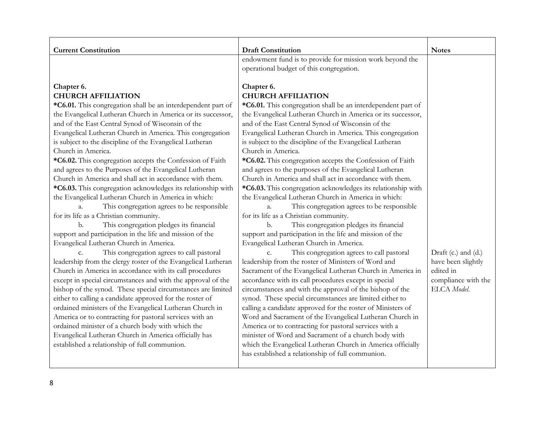| <b>Current Constitution</b>                                                                                                  | <b>Draft Constitution</b>                                                                                            | <b>Notes</b>                       |
|------------------------------------------------------------------------------------------------------------------------------|----------------------------------------------------------------------------------------------------------------------|------------------------------------|
|                                                                                                                              | endowment fund is to provide for mission work beyond the                                                             |                                    |
|                                                                                                                              | operational budget of this congregation.                                                                             |                                    |
| Chapter 6.                                                                                                                   | Chapter 6.                                                                                                           |                                    |
| <b>CHURCH AFFILIATION</b>                                                                                                    | <b>CHURCH AFFILIATION</b>                                                                                            |                                    |
| *C6.01. This congregation shall be an interdependent part of                                                                 | *C6.01. This congregation shall be an interdependent part of                                                         |                                    |
| the Evangelical Lutheran Church in America or its successor,                                                                 | the Evangelical Lutheran Church in America or its successor,                                                         |                                    |
| and of the East Central Synod of Wisconsin of the                                                                            | and of the East Central Synod of Wisconsin of the                                                                    |                                    |
| Evangelical Lutheran Church in America. This congregation                                                                    | Evangelical Lutheran Church in America. This congregation                                                            |                                    |
| is subject to the discipline of the Evangelical Lutheran                                                                     | is subject to the discipline of the Evangelical Lutheran                                                             |                                    |
| Church in America.                                                                                                           | Church in America.                                                                                                   |                                    |
| *C6.02. This congregation accepts the Confession of Faith                                                                    | *C6.02. This congregation accepts the Confession of Faith                                                            |                                    |
| and agrees to the Purposes of the Evangelical Lutheran                                                                       | and agrees to the purposes of the Evangelical Lutheran                                                               |                                    |
| Church in America and shall act in accordance with them.                                                                     | Church in America and shall act in accordance with them.                                                             |                                    |
| *C6.03. This congregation acknowledges its relationship with                                                                 | *C6.03. This congregation acknowledges its relationship with                                                         |                                    |
| the Evangelical Lutheran Church in America in which:                                                                         | the Evangelical Lutheran Church in America in which:                                                                 |                                    |
| This congregation agrees to be responsible<br>$a_{\cdot}$                                                                    | This congregation agrees to be responsible<br>$\mathbf{a}$ .                                                         |                                    |
| for its life as a Christian community.                                                                                       | for its life as a Christian community.                                                                               |                                    |
| This congregation pledges its financial<br>b.                                                                                | This congregation pledges its financial<br>b.                                                                        |                                    |
| support and participation in the life and mission of the                                                                     | support and participation in the life and mission of the                                                             |                                    |
| Evangelical Lutheran Church in America.                                                                                      | Evangelical Lutheran Church in America.                                                                              |                                    |
| This congregation agrees to call pastoral<br>c.                                                                              | This congregation agrees to call pastoral<br>c.                                                                      | Draft (c.) and (d.)                |
| leadership from the clergy roster of the Evangelical Lutheran                                                                | leadership from the roster of Ministers of Word and                                                                  | have been slightly<br>edited in    |
| Church in America in accordance with its call procedures                                                                     | Sacrament of the Evangelical Lutheran Church in America in                                                           |                                    |
| except in special circumstances and with the approval of the<br>bishop of the synod. These special circumstances are limited | accordance with its call procedures except in special                                                                | compliance with the<br>ELCA Model. |
| either to calling a candidate approved for the roster of                                                                     | circumstances and with the approval of the bishop of the<br>synod. These special circumstances are limited either to |                                    |
| ordained ministers of the Evangelical Lutheran Church in                                                                     | calling a candidate approved for the roster of Ministers of                                                          |                                    |
| America or to contracting for pastoral services with an                                                                      | Word and Sacrament of the Evangelical Lutheran Church in                                                             |                                    |
| ordained minister of a church body with which the                                                                            | America or to contracting for pastoral services with a                                                               |                                    |
| Evangelical Lutheran Church in America officially has                                                                        | minister of Word and Sacrament of a church body with                                                                 |                                    |
| established a relationship of full communion.                                                                                | which the Evangelical Lutheran Church in America officially                                                          |                                    |
|                                                                                                                              | has established a relationship of full communion.                                                                    |                                    |
|                                                                                                                              |                                                                                                                      |                                    |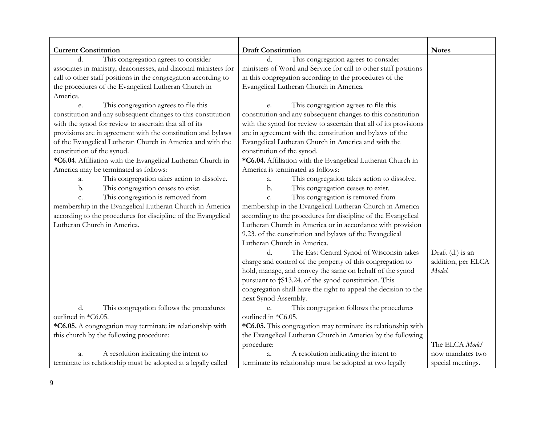| <b>Current Constitution</b>                                     | <b>Draft Constitution</b>                                         | <b>Notes</b>       |
|-----------------------------------------------------------------|-------------------------------------------------------------------|--------------------|
| This congregation agrees to consider                            | This congregation agrees to consider                              |                    |
| associates in ministry, deaconesses, and diaconal ministers for | ministers of Word and Service for call to other staff positions   |                    |
| call to other staff positions in the congregation according to  | in this congregation according to the procedures of the           |                    |
| the procedures of the Evangelical Lutheran Church in            | Evangelical Lutheran Church in America.                           |                    |
| America.                                                        |                                                                   |                    |
| This congregation agrees to file this<br>e.                     | This congregation agrees to file this<br>e.                       |                    |
| constitution and any subsequent changes to this constitution    | constitution and any subsequent changes to this constitution      |                    |
| with the synod for review to ascertain that all of its          | with the synod for review to ascertain that all of its provisions |                    |
| provisions are in agreement with the constitution and bylaws    | are in agreement with the constitution and bylaws of the          |                    |
| of the Evangelical Lutheran Church in America and with the      | Evangelical Lutheran Church in America and with the               |                    |
| constitution of the synod.                                      | constitution of the synod.                                        |                    |
| *C6.04. Affiliation with the Evangelical Lutheran Church in     | *C6.04. Affiliation with the Evangelical Lutheran Church in       |                    |
| America may be terminated as follows:                           | America is terminated as follows:                                 |                    |
| This congregation takes action to dissolve.<br>a.               | This congregation takes action to dissolve.<br>a.                 |                    |
| This congregation ceases to exist.<br>b.                        | This congregation ceases to exist.<br>b.                          |                    |
| This congregation is removed from<br>c.                         | This congregation is removed from<br>c.                           |                    |
| membership in the Evangelical Lutheran Church in America        | membership in the Evangelical Lutheran Church in America          |                    |
| according to the procedures for discipline of the Evangelical   | according to the procedures for discipline of the Evangelical     |                    |
| Lutheran Church in America.                                     | Lutheran Church in America or in accordance with provision        |                    |
|                                                                 | 9.23. of the constitution and bylaws of the Evangelical           |                    |
|                                                                 | Lutheran Church in America.                                       |                    |
|                                                                 | The East Central Synod of Wisconsin takes<br>d.                   | Draft (d.) is an   |
|                                                                 | charge and control of the property of this congregation to        | addition, per ELCA |
|                                                                 | hold, manage, and convey the same on behalf of the synod          | Model.             |
|                                                                 | pursuant to †S13.24. of the synod constitution. This              |                    |
|                                                                 | congregation shall have the right to appeal the decision to the   |                    |
|                                                                 | next Synod Assembly.                                              |                    |
| d.<br>This congregation follows the procedures                  | This congregation follows the procedures<br>e.                    |                    |
| outlined in *C6.05.                                             | outlined in *C6.05.                                               |                    |
| *C6.05. A congregation may terminate its relationship with      | *C6.05. This congregation may terminate its relationship with     |                    |
| this church by the following procedure:                         | the Evangelical Lutheran Church in America by the following       |                    |
|                                                                 | procedure:                                                        | The ELCA Model     |
| A resolution indicating the intent to<br>a.                     | A resolution indicating the intent to<br>a.                       | now mandates two   |
| terminate its relationship must be adopted at a legally called  | terminate its relationship must be adopted at two legally         | special meetings.  |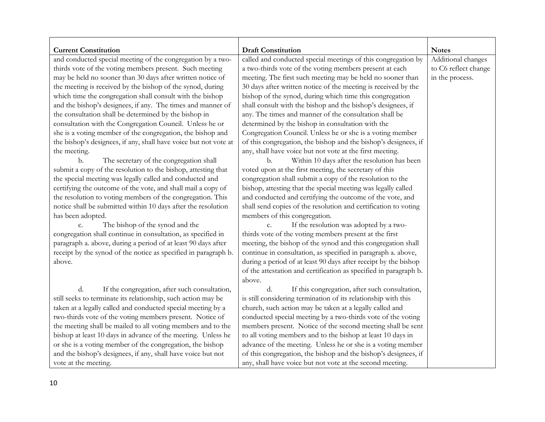| <b>Current Constitution</b>                                      | <b>Draft Constitution</b>                                         | <b>Notes</b>         |
|------------------------------------------------------------------|-------------------------------------------------------------------|----------------------|
| and conducted special meeting of the congregation by a two-      | called and conducted special meetings of this congregation by     | Additional changes   |
| thirds vote of the voting members present. Such meeting          | a two-thirds vote of the voting members present at each           | to C6 reflect change |
| may be held no sooner than 30 days after written notice of       | meeting. The first such meeting may be held no sooner than        | in the process.      |
| the meeting is received by the bishop of the synod, during       | 30 days after written notice of the meeting is received by the    |                      |
| which time the congregation shall consult with the bishop        | bishop of the synod, during which time this congregation          |                      |
| and the bishop's designees, if any. The times and manner of      | shall consult with the bishop and the bishop's designees, if      |                      |
| the consultation shall be determined by the bishop in            | any. The times and manner of the consultation shall be            |                      |
| consultation with the Congregation Council. Unless he or         | determined by the bishop in consultation with the                 |                      |
| she is a voting member of the congregation, the bishop and       | Congregation Council. Unless he or she is a voting member         |                      |
| the bishop's designees, if any, shall have voice but not vote at | of this congregation, the bishop and the bishop's designees, if   |                      |
| the meeting.                                                     | any, shall have voice but not vote at the first meeting.          |                      |
| The secretary of the congregation shall<br>b.                    | Within 10 days after the resolution has been<br>b.                |                      |
| submit a copy of the resolution to the bishop, attesting that    | voted upon at the first meeting, the secretary of this            |                      |
| the special meeting was legally called and conducted and         | congregation shall submit a copy of the resolution to the         |                      |
| certifying the outcome of the vote, and shall mail a copy of     | bishop, attesting that the special meeting was legally called     |                      |
| the resolution to voting members of the congregation. This       | and conducted and certifying the outcome of the vote, and         |                      |
| notice shall be submitted within 10 days after the resolution    | shall send copies of the resolution and certification to voting   |                      |
| has been adopted.                                                | members of this congregation.                                     |                      |
| The bishop of the synod and the<br>c.                            | If the resolution was adopted by a two-<br>c.                     |                      |
| congregation shall continue in consultation, as specified in     | thirds vote of the voting members present at the first            |                      |
| paragraph a. above, during a period of at least 90 days after    | meeting, the bishop of the synod and this congregation shall      |                      |
| receipt by the synod of the notice as specified in paragraph b.  | continue in consultation, as specified in paragraph a. above,     |                      |
| above.                                                           | during a period of at least 90 days after receipt by the bishop   |                      |
|                                                                  | of the attestation and certification as specified in paragraph b. |                      |
|                                                                  | above.                                                            |                      |
| d.<br>If the congregation, after such consultation,              | If this congregation, after such consultation,<br>d.              |                      |
| still seeks to terminate its relationship, such action may be    | is still considering termination of its relationship with this    |                      |
| taken at a legally called and conducted special meeting by a     | church, such action may be taken at a legally called and          |                      |
| two-thirds vote of the voting members present. Notice of         | conducted special meeting by a two-thirds vote of the voting      |                      |
| the meeting shall be mailed to all voting members and to the     | members present. Notice of the second meeting shall be sent       |                      |
| bishop at least 10 days in advance of the meeting. Unless he     | to all voting members and to the bishop at least 10 days in       |                      |
| or she is a voting member of the congregation, the bishop        | advance of the meeting. Unless he or she is a voting member       |                      |
| and the bishop's designees, if any, shall have voice but not     | of this congregation, the bishop and the bishop's designees, if   |                      |
| vote at the meeting.                                             | any, shall have voice but not vote at the second meeting.         |                      |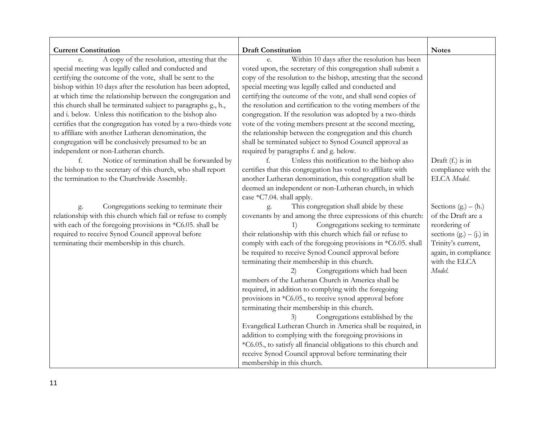| <b>Current Constitution</b>                                    | <b>Draft Constitution</b>                                        | <b>Notes</b>              |
|----------------------------------------------------------------|------------------------------------------------------------------|---------------------------|
| A copy of the resolution, attesting that the<br>e.             | Within 10 days after the resolution has been<br>e.               |                           |
| special meeting was legally called and conducted and           | voted upon, the secretary of this congregation shall submit a    |                           |
| certifying the outcome of the vote, shall be sent to the       | copy of the resolution to the bishop, attesting that the second  |                           |
| bishop within 10 days after the resolution has been adopted,   | special meeting was legally called and conducted and             |                           |
| at which time the relationship between the congregation and    | certifying the outcome of the vote, and shall send copies of     |                           |
| this church shall be terminated subject to paragraphs g., h.,  | the resolution and certification to the voting members of the    |                           |
| and i. below. Unless this notification to the bishop also      | congregation. If the resolution was adopted by a two-thirds      |                           |
| certifies that the congregation has voted by a two-thirds vote | vote of the voting members present at the second meeting,        |                           |
| to affiliate with another Lutheran denomination, the           | the relationship between the congregation and this church        |                           |
| congregation will be conclusively presumed to be an            | shall be terminated subject to Synod Council approval as         |                           |
| independent or non-Lutheran church.                            | required by paragraphs f. and g. below.                          |                           |
| Notice of termination shall be forwarded by                    | Unless this notification to the bishop also                      | Draft (f.) is in          |
| the bishop to the secretary of this church, who shall report   | certifies that this congregation has voted to affiliate with     | compliance with the       |
| the termination to the Churchwide Assembly.                    | another Lutheran denomination, this congregation shall be        | ELCA Model.               |
|                                                                | deemed an independent or non-Lutheran church, in which           |                           |
|                                                                | case *C7.04. shall apply.                                        |                           |
| Congregations seeking to terminate their<br>g.                 | This congregation shall abide by these<br>g.                     | Sections $(g. – (h.)$     |
| relationship with this church which fail or refuse to comply   | covenants by and among the three expressions of this church:     | of the Draft are a        |
| with each of the foregoing provisions in *C6.05. shall be      | Congregations seeking to terminate<br>1)                         | reordering of             |
| required to receive Synod Council approval before              | their relationship with this church which fail or refuse to      | sections $(g.) - (j.)$ in |
| terminating their membership in this church.                   | comply with each of the foregoing provisions in *C6.05. shall    | Trinity's current,        |
|                                                                | be required to receive Synod Council approval before             | again, in compliance      |
|                                                                | terminating their membership in this church.                     | with the ELCA             |
|                                                                | Congregations which had been<br>2)                               | Model.                    |
|                                                                | members of the Lutheran Church in America shall be               |                           |
|                                                                | required, in addition to complying with the foregoing            |                           |
|                                                                | provisions in *C6.05., to receive synod approval before          |                           |
|                                                                | terminating their membership in this church.                     |                           |
|                                                                | Congregations established by the<br>3)                           |                           |
|                                                                | Evangelical Lutheran Church in America shall be required, in     |                           |
|                                                                | addition to complying with the foregoing provisions in           |                           |
|                                                                | *C6.05., to satisfy all financial obligations to this church and |                           |
|                                                                | receive Synod Council approval before terminating their          |                           |
|                                                                | membership in this church.                                       |                           |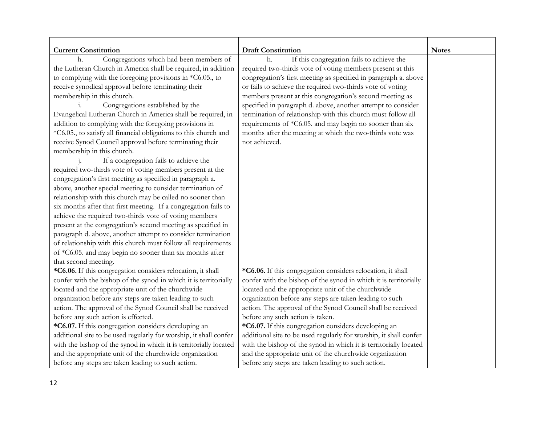| <b>Current Constitution</b>                                       | <b>Draft Constitution</b>                                         | <b>Notes</b> |
|-------------------------------------------------------------------|-------------------------------------------------------------------|--------------|
| Congregations which had been members of<br>h.                     | If this congregation fails to achieve the<br>h.                   |              |
| the Lutheran Church in America shall be required, in addition     | required two-thirds vote of voting members present at this        |              |
| to complying with the foregoing provisions in $*C6.05$ , to       | congregation's first meeting as specified in paragraph a. above   |              |
| receive synodical approval before terminating their               | or fails to achieve the required two-thirds vote of voting        |              |
| membership in this church.                                        | members present at this congregation's second meeting as          |              |
| Congregations established by the<br>$\mathbf{1}$ .                | specified in paragraph d. above, another attempt to consider      |              |
| Evangelical Lutheran Church in America shall be required, in      | termination of relationship with this church must follow all      |              |
| addition to complying with the foregoing provisions in            | requirements of *C6.05. and may begin no sooner than six          |              |
| *C6.05., to satisfy all financial obligations to this church and  | months after the meeting at which the two-thirds vote was         |              |
| receive Synod Council approval before terminating their           | not achieved.                                                     |              |
| membership in this church.                                        |                                                                   |              |
| If a congregation fails to achieve the                            |                                                                   |              |
| required two-thirds vote of voting members present at the         |                                                                   |              |
| congregation's first meeting as specified in paragraph a.         |                                                                   |              |
| above, another special meeting to consider termination of         |                                                                   |              |
| relationship with this church may be called no sooner than        |                                                                   |              |
| six months after that first meeting. If a congregation fails to   |                                                                   |              |
| achieve the required two-thirds vote of voting members            |                                                                   |              |
| present at the congregation's second meeting as specified in      |                                                                   |              |
| paragraph d. above, another attempt to consider termination       |                                                                   |              |
| of relationship with this church must follow all requirements     |                                                                   |              |
| of *C6.05. and may begin no sooner than six months after          |                                                                   |              |
| that second meeting.                                              |                                                                   |              |
| *C6.06. If this congregation considers relocation, it shall       | *C6.06. If this congregation considers relocation, it shall       |              |
| confer with the bishop of the synod in which it is territorially  | confer with the bishop of the synod in which it is territorially  |              |
| located and the appropriate unit of the churchwide                | located and the appropriate unit of the churchwide                |              |
| organization before any steps are taken leading to such           | organization before any steps are taken leading to such           |              |
| action. The approval of the Synod Council shall be received       | action. The approval of the Synod Council shall be received       |              |
| before any such action is effected.                               | before any such action is taken.                                  |              |
| *C6.07. If this congregation considers developing an              | *C6.07. If this congregation considers developing an              |              |
| additional site to be used regularly for worship, it shall confer | additional site to be used regularly for worship, it shall confer |              |
| with the bishop of the synod in which it is territorially located | with the bishop of the synod in which it is territorially located |              |
| and the appropriate unit of the churchwide organization           | and the appropriate unit of the churchwide organization           |              |
| before any steps are taken leading to such action.                | before any steps are taken leading to such action.                |              |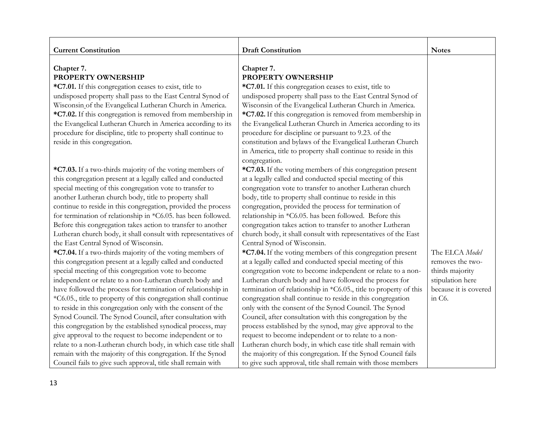| <b>Current Constitution</b>                                                                                                                                                                                                                                                                                                                                                                                                                                                                                                                                                                                                                                                                                                                                                                                                                                                                                                                                                                                                                                                                                                                                                                                                                                                                                                                                                                        | <b>Draft Constitution</b>                                                                                                                                                                                                                                                                                                                                                                                                                                                                                                                                                                                                                                                                                                                                                                                                                                                                                                                                                                                                                                                                                                                                                                                                                                                                                                                                                            | <b>Notes</b>                                                                                                              |
|----------------------------------------------------------------------------------------------------------------------------------------------------------------------------------------------------------------------------------------------------------------------------------------------------------------------------------------------------------------------------------------------------------------------------------------------------------------------------------------------------------------------------------------------------------------------------------------------------------------------------------------------------------------------------------------------------------------------------------------------------------------------------------------------------------------------------------------------------------------------------------------------------------------------------------------------------------------------------------------------------------------------------------------------------------------------------------------------------------------------------------------------------------------------------------------------------------------------------------------------------------------------------------------------------------------------------------------------------------------------------------------------------|--------------------------------------------------------------------------------------------------------------------------------------------------------------------------------------------------------------------------------------------------------------------------------------------------------------------------------------------------------------------------------------------------------------------------------------------------------------------------------------------------------------------------------------------------------------------------------------------------------------------------------------------------------------------------------------------------------------------------------------------------------------------------------------------------------------------------------------------------------------------------------------------------------------------------------------------------------------------------------------------------------------------------------------------------------------------------------------------------------------------------------------------------------------------------------------------------------------------------------------------------------------------------------------------------------------------------------------------------------------------------------------|---------------------------------------------------------------------------------------------------------------------------|
| Chapter 7.<br>PROPERTY OWNERSHIP<br>*C7.01. If this congregation ceases to exist, title to<br>undisposed property shall pass to the East Central Synod of<br>Wisconsin of the Evangelical Lutheran Church in America.<br>*C7.02. If this congregation is removed from membership in<br>the Evangelical Lutheran Church in America according to its<br>procedure for discipline, title to property shall continue to<br>reside in this congregation.                                                                                                                                                                                                                                                                                                                                                                                                                                                                                                                                                                                                                                                                                                                                                                                                                                                                                                                                                | Chapter 7.<br><b>PROPERTY OWNERSHIP</b><br>*C7.01. If this congregation ceases to exist, title to<br>undisposed property shall pass to the East Central Synod of<br>Wisconsin of the Evangelical Lutheran Church in America.<br>*C7.02. If this congregation is removed from membership in<br>the Evangelical Lutheran Church in America according to its<br>procedure for discipline or pursuant to 9.23. of the<br>constitution and bylaws of the Evangelical Lutheran Church<br>in America, title to property shall continue to reside in this                                                                                                                                                                                                                                                                                                                                                                                                                                                                                                                                                                                                                                                                                                                                                                                                                                    |                                                                                                                           |
| *C7.03. If a two-thirds majority of the voting members of<br>this congregation present at a legally called and conducted<br>special meeting of this congregation vote to transfer to<br>another Lutheran church body, title to property shall<br>continue to reside in this congregation, provided the process<br>for termination of relationship in *C6.05. has been followed.<br>Before this congregation takes action to transfer to another<br>Lutheran church body, it shall consult with representatives of<br>the East Central Synod of Wisconsin.<br>*C7.04. If a two-thirds majority of the voting members of<br>this congregation present at a legally called and conducted<br>special meeting of this congregation vote to become<br>independent or relate to a non-Lutheran church body and<br>have followed the process for termination of relationship in<br>*C6.05., title to property of this congregation shall continue<br>to reside in this congregation only with the consent of the<br>Synod Council. The Synod Council, after consultation with<br>this congregation by the established synodical process, may<br>give approval to the request to become independent or to<br>relate to a non-Lutheran church body, in which case title shall<br>remain with the majority of this congregation. If the Synod<br>Council fails to give such approval, title shall remain with | congregation.<br>*C7.03. If the voting members of this congregation present<br>at a legally called and conducted special meeting of this<br>congregation vote to transfer to another Lutheran church<br>body, title to property shall continue to reside in this<br>congregation, provided the process for termination of<br>relationship in *C6.05. has been followed. Before this<br>congregation takes action to transfer to another Lutheran<br>church body, it shall consult with representatives of the East<br>Central Synod of Wisconsin.<br>*C7.04. If the voting members of this congregation present<br>at a legally called and conducted special meeting of this<br>congregation vote to become independent or relate to a non-<br>Lutheran church body and have followed the process for<br>termination of relationship in *C6.05., title to property of this<br>congregation shall continue to reside in this congregation<br>only with the consent of the Synod Council. The Synod<br>Council, after consultation with this congregation by the<br>process established by the synod, may give approval to the<br>request to become independent or to relate to a non-<br>Lutheran church body, in which case title shall remain with<br>the majority of this congregation. If the Synod Council fails<br>to give such approval, title shall remain with those members | The ELCA Model<br>removes the two-<br>thirds majority<br>stipulation here<br>because it is covered<br>in C <sub>6</sub> . |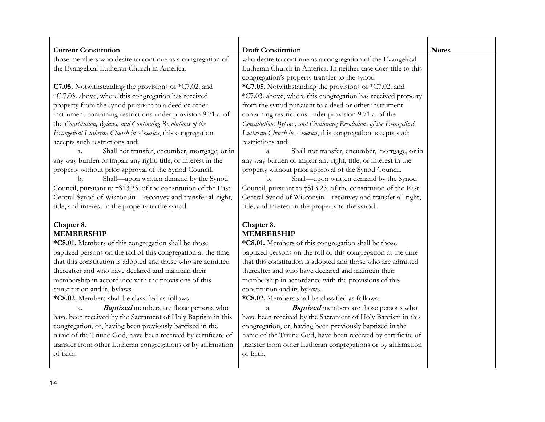| <b>Current Constitution</b>                                   | <b>Draft Constitution</b>                                           | <b>Notes</b> |
|---------------------------------------------------------------|---------------------------------------------------------------------|--------------|
| those members who desire to continue as a congregation of     | who desire to continue as a congregation of the Evangelical         |              |
| the Evangelical Lutheran Church in America.                   | Lutheran Church in America. In neither case does title to this      |              |
|                                                               | congregation's property transfer to the synod                       |              |
| C7.05. Notwithstanding the provisions of $*C7.02$ . and       | *C7.05. Notwithstanding the provisions of *C7.02. and               |              |
| *C.7.03. above, where this congregation has received          | *C7.03. above, where this congregation has received property        |              |
| property from the synod pursuant to a deed or other           | from the synod pursuant to a deed or other instrument               |              |
| instrument containing restrictions under provision 9.71.a. of | containing restrictions under provision 9.71.a. of the              |              |
| the Constitution, Bylaws, and Continuing Resolutions of the   | Constitution, Bylaws, and Continuing Resolutions of the Evangelical |              |
| Evangelical Lutheran Church in America, this congregation     | Lutheran Church in America, this congregation accepts such          |              |
| accepts such restrictions and:                                | restrictions and:                                                   |              |
| Shall not transfer, encumber, mortgage, or in<br>a.           | Shall not transfer, encumber, mortgage, or in<br>a.                 |              |
| any way burden or impair any right, title, or interest in the | any way burden or impair any right, title, or interest in the       |              |
| property without prior approval of the Synod Council.         | property without prior approval of the Synod Council.               |              |
| Shall—upon written demand by the Synod<br>b.                  | Shall-upon written demand by the Synod<br>b.                        |              |
| Council, pursuant to †S13.23. of the constitution of the East | Council, pursuant to †S13.23. of the constitution of the East       |              |
| Central Synod of Wisconsin-reconvey and transfer all right,   | Central Synod of Wisconsin-reconvey and transfer all right,         |              |
| title, and interest in the property to the synod.             | title, and interest in the property to the synod.                   |              |
| Chapter 8.                                                    | Chapter 8.                                                          |              |
| <b>MEMBERSHIP</b>                                             | <b>MEMBERSHIP</b>                                                   |              |
| *C8.01. Members of this congregation shall be those           | *C8.01. Members of this congregation shall be those                 |              |
| baptized persons on the roll of this congregation at the time | baptized persons on the roll of this congregation at the time       |              |
| that this constitution is adopted and those who are admitted  | that this constitution is adopted and those who are admitted        |              |
| thereafter and who have declared and maintain their           | thereafter and who have declared and maintain their                 |              |
| membership in accordance with the provisions of this          | membership in accordance with the provisions of this                |              |
| constitution and its bylaws.                                  | constitution and its bylaws.                                        |              |
| *C8.02. Members shall be classified as follows:               | *C8.02. Members shall be classified as follows:                     |              |
| <b>Baptized</b> members are those persons who<br>a.           | <b>Baptized</b> members are those persons who<br>a.                 |              |
| have been received by the Sacrament of Holy Baptism in this   | have been received by the Sacrament of Holy Baptism in this         |              |
| congregation, or, having been previously baptized in the      | congregation, or, having been previously baptized in the            |              |
| name of the Triune God, have been received by certificate of  | name of the Triune God, have been received by certificate of        |              |
| transfer from other Lutheran congregations or by affirmation  | transfer from other Lutheran congregations or by affirmation        |              |
| of faith.                                                     | of faith.                                                           |              |
|                                                               |                                                                     |              |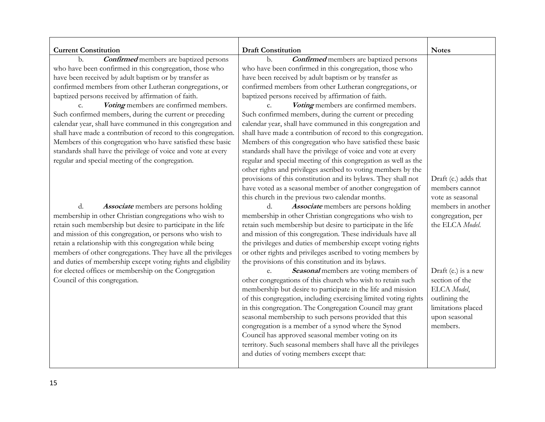| <b>Current Constitution</b>                                    | <b>Draft Constitution</b>                                                                                 | <b>Notes</b>                        |
|----------------------------------------------------------------|-----------------------------------------------------------------------------------------------------------|-------------------------------------|
| <b>Confirmed</b> members are baptized persons<br>b.            | <b>Confirmed</b> members are baptized persons<br>b.                                                       |                                     |
| who have been confirmed in this congregation, those who        | who have been confirmed in this congregation, those who                                                   |                                     |
| have been received by adult baptism or by transfer as          | have been received by adult baptism or by transfer as                                                     |                                     |
| confirmed members from other Lutheran congregations, or        | confirmed members from other Lutheran congregations, or                                                   |                                     |
| baptized persons received by affirmation of faith.             | baptized persons received by affirmation of faith.                                                        |                                     |
| Voting members are confirmed members.<br>$\mathcal{C}$ .       | Voting members are confirmed members.<br>$C_{\star}$                                                      |                                     |
| Such confirmed members, during the current or preceding        | Such confirmed members, during the current or preceding                                                   |                                     |
| calendar year, shall have communed in this congregation and    | calendar year, shall have communed in this congregation and                                               |                                     |
| shall have made a contribution of record to this congregation. | shall have made a contribution of record to this congregation.                                            |                                     |
| Members of this congregation who have satisfied these basic    | Members of this congregation who have satisfied these basic                                               |                                     |
| standards shall have the privilege of voice and vote at every  | standards shall have the privilege of voice and vote at every                                             |                                     |
| regular and special meeting of the congregation.               | regular and special meeting of this congregation as well as the                                           |                                     |
|                                                                | other rights and privileges ascribed to voting members by the                                             |                                     |
|                                                                | provisions of this constitution and its bylaws. They shall not                                            | Draft (c.) adds that                |
|                                                                | have voted as a seasonal member of another congregation of                                                | members cannot                      |
|                                                                | this church in the previous two calendar months.                                                          | vote as seasonal                    |
| d.<br><b>Associate</b> members are persons holding             | Associate members are persons holding<br>d.                                                               | members in another                  |
| membership in other Christian congregations who wish to        | membership in other Christian congregations who wish to                                                   | congregation, per                   |
| retain such membership but desire to participate in the life   | retain such membership but desire to participate in the life                                              | the ELCA Model.                     |
| and mission of this congregation, or persons who wish to       | and mission of this congregation. These individuals have all                                              |                                     |
| retain a relationship with this congregation while being       | the privileges and duties of membership except voting rights                                              |                                     |
| members of other congregations. They have all the privileges   | or other rights and privileges ascribed to voting members by                                              |                                     |
| and duties of membership except voting rights and eligibility  | the provisions of this constitution and its bylaws.                                                       |                                     |
| for elected offices or membership on the Congregation          | Seasonal members are voting members of<br>e.                                                              | Draft (e.) is a new                 |
| Council of this congregation.                                  | other congregations of this church who wish to retain such                                                | section of the                      |
|                                                                | membership but desire to participate in the life and mission                                              | ELCA Model,                         |
|                                                                | of this congregation, including exercising limited voting rights                                          | outlining the                       |
|                                                                | in this congregation. The Congregation Council may grant                                                  | limitations placed<br>upon seasonal |
|                                                                | seasonal membership to such persons provided that this                                                    | members.                            |
|                                                                | congregation is a member of a synod where the Synod<br>Council has approved seasonal member voting on its |                                     |
|                                                                | territory. Such seasonal members shall have all the privileges                                            |                                     |
|                                                                | and duties of voting members except that:                                                                 |                                     |
|                                                                |                                                                                                           |                                     |
|                                                                |                                                                                                           |                                     |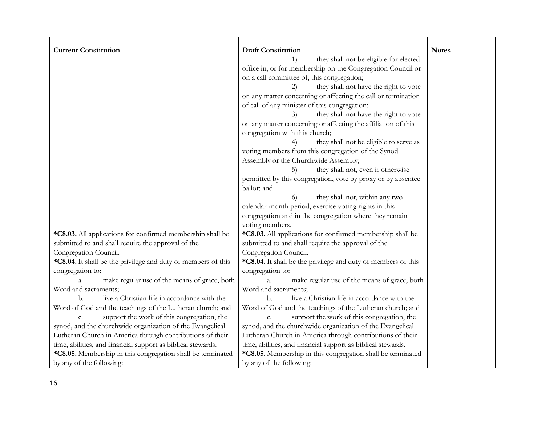| <b>Current Constitution</b>                                    | <b>Draft Constitution</b>                                        | <b>Notes</b> |
|----------------------------------------------------------------|------------------------------------------------------------------|--------------|
|                                                                | they shall not be eligible for elected<br>1)                     |              |
|                                                                | office in, or for membership on the Congregation Council or      |              |
|                                                                | on a call committee of, this congregation;                       |              |
|                                                                | they shall not have the right to vote<br>2)                      |              |
|                                                                | on any matter concerning or affecting the call or termination    |              |
|                                                                | of call of any minister of this congregation;                    |              |
|                                                                | they shall not have the right to vote<br>3)                      |              |
|                                                                | on any matter concerning or affecting the affiliation of this    |              |
|                                                                | congregation with this church;                                   |              |
|                                                                | they shall not be eligible to serve as                           |              |
|                                                                | voting members from this congregation of the Synod               |              |
|                                                                | Assembly or the Churchwide Assembly;                             |              |
|                                                                | they shall not, even if otherwise<br>5)                          |              |
|                                                                | permitted by this congregation, vote by proxy or by absentee     |              |
|                                                                | ballot; and                                                      |              |
|                                                                | they shall not, within any two-<br>$\Omega$                      |              |
|                                                                | calendar-month period, exercise voting rights in this            |              |
|                                                                | congregation and in the congregation where they remain           |              |
|                                                                | voting members.                                                  |              |
| *C8.03. All applications for confirmed membership shall be     | *C8.03. All applications for confirmed membership shall be       |              |
| submitted to and shall require the approval of the             | submitted to and shall require the approval of the               |              |
| Congregation Council.                                          | Congregation Council.                                            |              |
| *C8.04. It shall be the privilege and duty of members of this  | *C8.04. It shall be the privilege and duty of members of this    |              |
| congregation to:                                               | congregation to:                                                 |              |
| make regular use of the means of grace, both<br>$\mathbf{a}$ . | make regular use of the means of grace, both<br>$\overline{a}$ . |              |
| Word and sacraments;                                           | Word and sacraments;                                             |              |
| live a Christian life in accordance with the<br>b.             | live a Christian life in accordance with the<br>b.               |              |
| Word of God and the teachings of the Lutheran church; and      | Word of God and the teachings of the Lutheran church; and        |              |
| support the work of this congregation, the<br>c.               | support the work of this congregation, the<br>$C_{\bullet}$      |              |
| synod, and the churchwide organization of the Evangelical      | synod, and the churchwide organization of the Evangelical        |              |
| Lutheran Church in America through contributions of their      | Lutheran Church in America through contributions of their        |              |
| time, abilities, and financial support as biblical stewards.   | time, abilities, and financial support as biblical stewards.     |              |
| *C8.05. Membership in this congregation shall be terminated    | *C8.05. Membership in this congregation shall be terminated      |              |
| by any of the following:                                       | by any of the following:                                         |              |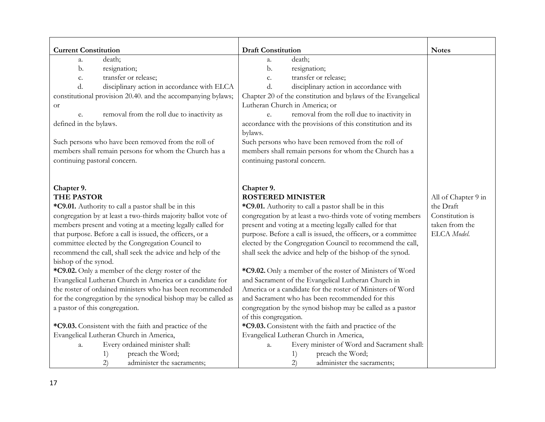| <b>Current Constitution</b>                                   | <b>Draft Constitution</b>                                      | <b>Notes</b>        |
|---------------------------------------------------------------|----------------------------------------------------------------|---------------------|
| death;<br>a.                                                  | death;<br>a.                                                   |                     |
| b.<br>resignation;                                            | b.<br>resignation;                                             |                     |
| transfer or release;<br>c.                                    | transfer or release;<br>c.                                     |                     |
| d.<br>disciplinary action in accordance with ELCA             | d.<br>disciplinary action in accordance with                   |                     |
| constitutional provision 20.40. and the accompanying bylaws;  | Chapter 20 of the constitution and bylaws of the Evangelical   |                     |
| <b>or</b>                                                     | Lutheran Church in America; or                                 |                     |
| removal from the roll due to inactivity as<br>e.              | removal from the roll due to inactivity in<br>e.               |                     |
| defined in the bylaws.                                        | accordance with the provisions of this constitution and its    |                     |
|                                                               | bylaws.                                                        |                     |
| Such persons who have been removed from the roll of           | Such persons who have been removed from the roll of            |                     |
| members shall remain persons for whom the Church has a        | members shall remain persons for whom the Church has a         |                     |
| continuing pastoral concern.                                  | continuing pastoral concern.                                   |                     |
|                                                               |                                                                |                     |
| Chapter 9.                                                    | Chapter 9.                                                     |                     |
| <b>THE PASTOR</b>                                             | <b>ROSTERED MINISTER</b>                                       | All of Chapter 9 in |
| *C9.01. Authority to call a pastor shall be in this           | *C9.01. Authority to call a pastor shall be in this            | the Draft           |
| congregation by at least a two-thirds majority ballot vote of | congregation by at least a two-thirds vote of voting members   | Constitution is     |
| members present and voting at a meeting legally called for    | present and voting at a meeting legally called for that        | taken from the      |
| that purpose. Before a call is issued, the officers, or a     | purpose. Before a call is issued, the officers, or a committee | ELCA Model.         |
| committee elected by the Congregation Council to              | elected by the Congregation Council to recommend the call,     |                     |
| recommend the call, shall seek the advice and help of the     | shall seek the advice and help of the bishop of the synod.     |                     |
| bishop of the synod.                                          |                                                                |                     |
| *C9.02. Only a member of the clergy roster of the             | *C9.02. Only a member of the roster of Ministers of Word       |                     |
| Evangelical Lutheran Church in America or a candidate for     | and Sacrament of the Evangelical Lutheran Church in            |                     |
| the roster of ordained ministers who has been recommended     | America or a candidate for the roster of Ministers of Word     |                     |
| for the congregation by the synodical bishop may be called as | and Sacrament who has been recommended for this                |                     |
| a pastor of this congregation.                                | congregation by the synod bishop may be called as a pastor     |                     |
|                                                               | of this congregation.                                          |                     |
| *C9.03. Consistent with the faith and practice of the         | *C9.03. Consistent with the faith and practice of the          |                     |
| Evangelical Lutheran Church in America,                       | Evangelical Lutheran Church in America,                        |                     |
| Every ordained minister shall:<br>a.                          | Every minister of Word and Sacrament shall:<br>a.              |                     |
| preach the Word;<br>1)                                        | preach the Word;<br>1)                                         |                     |
| 2)<br>administer the sacraments;                              | (2)<br>administer the sacraments;                              |                     |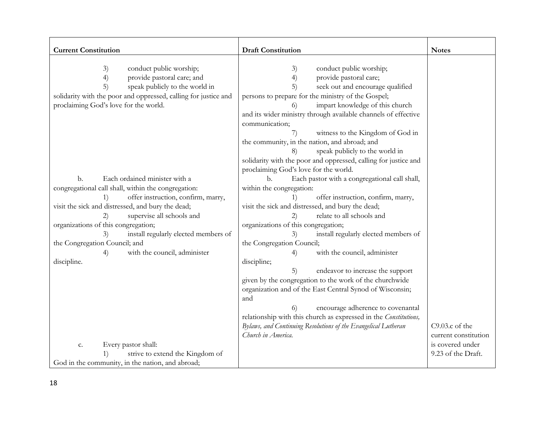| <b>Current Constitution</b>                                     | <b>Draft Constitution</b>                                        | <b>Notes</b>         |
|-----------------------------------------------------------------|------------------------------------------------------------------|----------------------|
|                                                                 |                                                                  |                      |
| 3)<br>conduct public worship;                                   | conduct public worship;<br>3)                                    |                      |
| 4)<br>provide pastoral care; and                                | 4)<br>provide pastoral care;                                     |                      |
| 5)<br>speak publicly to the world in                            | seek out and encourage qualified<br>5)                           |                      |
| solidarity with the poor and oppressed, calling for justice and | persons to prepare for the ministry of the Gospel;               |                      |
| proclaiming God's love for the world.                           | impart knowledge of this church                                  |                      |
|                                                                 | and its wider ministry through available channels of effective   |                      |
|                                                                 | communication;                                                   |                      |
|                                                                 | witness to the Kingdom of God in<br>7)                           |                      |
|                                                                 | the community, in the nation, and abroad; and                    |                      |
|                                                                 | speak publicly to the world in<br>8)                             |                      |
|                                                                 | solidarity with the poor and oppressed, calling for justice and  |                      |
|                                                                 | proclaiming God's love for the world.                            |                      |
| Each ordained minister with a<br>b.                             | Each pastor with a congregational call shall,<br>$b$             |                      |
| congregational call shall, within the congregation:             | within the congregation:                                         |                      |
| offer instruction, confirm, marry,<br>1)                        | offer instruction, confirm, marry,                               |                      |
| visit the sick and distressed, and bury the dead;               | visit the sick and distressed, and bury the dead;                |                      |
| supervise all schools and<br>2)                                 | relate to all schools and<br>$\mathbf{2}$                        |                      |
| organizations of this congregation;                             | organizations of this congregation;                              |                      |
| install regularly elected members of<br>3)                      | install regularly elected members of<br>3)                       |                      |
| the Congregation Council; and                                   | the Congregation Council;                                        |                      |
| with the council, administer<br>4)                              | with the council, administer<br>4)                               |                      |
| discipline.                                                     | discipline;                                                      |                      |
|                                                                 | 5)<br>endeavor to increase the support                           |                      |
|                                                                 | given by the congregation to the work of the churchwide          |                      |
|                                                                 | organization and of the East Central Synod of Wisconsin;         |                      |
|                                                                 | and                                                              |                      |
|                                                                 | encourage adherence to covenantal                                |                      |
|                                                                 | relationship with this church as expressed in the Constitutions, |                      |
|                                                                 | Bylaws, and Continuing Resolutions of the Evangelical Lutheran   | $C9.03.c$ of the     |
|                                                                 | Church in America.                                               | current constitution |
| Every pastor shall:<br>c.                                       |                                                                  | is covered under     |
| strive to extend the Kingdom of<br>1)                           |                                                                  | 9.23 of the Draft.   |
| God in the community, in the nation, and abroad;                |                                                                  |                      |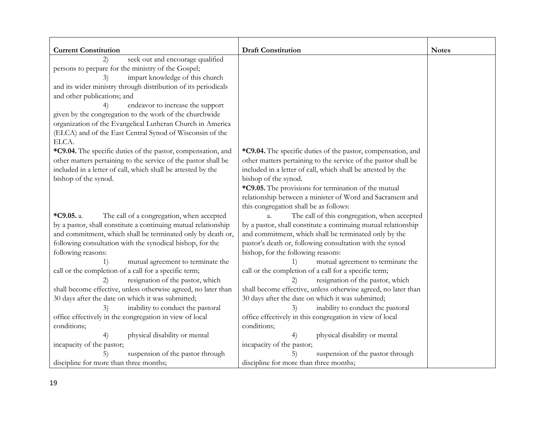| <b>Current Constitution</b>                                                                                                                                                                                                                                                                                                                                                                                                                                                                                                                                                                                                                            | <b>Draft Constitution</b>                                                                                                                                                                                                                                                                                                                                                                                                                                                                                                                                                                                                                                   | <b>Notes</b> |
|--------------------------------------------------------------------------------------------------------------------------------------------------------------------------------------------------------------------------------------------------------------------------------------------------------------------------------------------------------------------------------------------------------------------------------------------------------------------------------------------------------------------------------------------------------------------------------------------------------------------------------------------------------|-------------------------------------------------------------------------------------------------------------------------------------------------------------------------------------------------------------------------------------------------------------------------------------------------------------------------------------------------------------------------------------------------------------------------------------------------------------------------------------------------------------------------------------------------------------------------------------------------------------------------------------------------------------|--------------|
| seek out and encourage qualified<br>(2)<br>persons to prepare for the ministry of the Gospel;<br>impart knowledge of this church<br>3)<br>and its wider ministry through distribution of its periodicals<br>and other publications; and<br>endeavor to increase the support<br>4)<br>given by the congregation to the work of the churchwide<br>organization of the Evangelical Lutheran Church in America<br>(ELCA) and of the East Central Synod of Wisconsin of the                                                                                                                                                                                 |                                                                                                                                                                                                                                                                                                                                                                                                                                                                                                                                                                                                                                                             |              |
| ELCA.<br>*C9.04. The specific duties of the pastor, compensation, and<br>other matters pertaining to the service of the pastor shall be<br>included in a letter of call, which shall be attested by the<br>bishop of the synod.                                                                                                                                                                                                                                                                                                                                                                                                                        | *C9.04. The specific duties of the pastor, compensation, and<br>other matters pertaining to the service of the pastor shall be<br>included in a letter of call, which shall be attested by the<br>bishop of the synod.<br>*C9.05. The provisions for termination of the mutual<br>relationship between a minister of Word and Sacrament and<br>this congregation shall be as follows:                                                                                                                                                                                                                                                                       |              |
| *C9.05. a.<br>The call of a congregation, when accepted<br>by a pastor, shall constitute a continuing mutual relationship<br>and commitment, which shall be terminated only by death or,<br>following consultation with the synodical bishop, for the<br>following reasons:<br>mutual agreement to terminate the<br>1)<br>call or the completion of a call for a specific term;<br>resignation of the pastor, which<br>2)<br>shall become effective, unless otherwise agreed, no later than<br>30 days after the date on which it was submitted;<br>inability to conduct the pastoral<br>3)<br>office effectively in the congregation in view of local | The call of this congregation, when accepted<br>a.<br>by a pastor, shall constitute a continuing mutual relationship<br>and commitment, which shall be terminated only by the<br>pastor's death or, following consultation with the synod<br>bishop, for the following reasons:<br>mutual agreement to terminate the<br>1)<br>call or the completion of a call for a specific term;<br>resignation of the pastor, which<br>2)<br>shall become effective, unless otherwise agreed, no later than<br>30 days after the date on which it was submitted;<br>inability to conduct the pastoral<br>3)<br>office effectively in this congregation in view of local |              |
| conditions;<br>physical disability or mental<br>4)<br>incapacity of the pastor;<br>suspension of the pastor through<br>5)<br>discipline for more than three months;                                                                                                                                                                                                                                                                                                                                                                                                                                                                                    | conditions;<br>physical disability or mental<br>4)<br>incapacity of the pastor;<br>suspension of the pastor through<br>5)<br>discipline for more than three months;                                                                                                                                                                                                                                                                                                                                                                                                                                                                                         |              |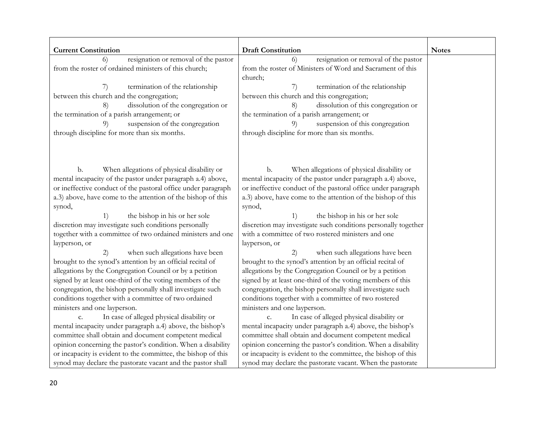| <b>Current Constitution</b>                                   | <b>Draft Constitution</b>                                      | <b>Notes</b> |
|---------------------------------------------------------------|----------------------------------------------------------------|--------------|
| resignation or removal of the pastor<br>6)                    | resignation or removal of the pastor<br>6)                     |              |
| from the roster of ordained ministers of this church;         | from the roster of Ministers of Word and Sacrament of this     |              |
|                                                               | church;                                                        |              |
| termination of the relationship<br>7)                         | termination of the relationship<br>7)                          |              |
| between this church and the congregation;                     | between this church and this congregation;                     |              |
| dissolution of the congregation or<br>8)                      | dissolution of this congregation or<br>8)                      |              |
| the termination of a parish arrangement; or                   | the termination of a parish arrangement; or                    |              |
| suspension of the congregation<br>9)                          | suspension of this congregation<br>9)                          |              |
| through discipline for more than six months.                  | through discipline for more than six months.                   |              |
|                                                               |                                                                |              |
| When allegations of physical disability or<br>b.              | When allegations of physical disability or<br>b.               |              |
| mental incapacity of the pastor under paragraph a.4) above,   | mental incapacity of the pastor under paragraph a.4) above,    |              |
| or ineffective conduct of the pastoral office under paragraph | or ineffective conduct of the pastoral office under paragraph  |              |
| a.3) above, have come to the attention of the bishop of this  | a.3) above, have come to the attention of the bishop of this   |              |
| synod,                                                        | synod,                                                         |              |
| the bishop in his or her sole<br>1)                           | the bishop in his or her sole<br>1)                            |              |
| discretion may investigate such conditions personally         | discretion may investigate such conditions personally together |              |
| together with a committee of two ordained ministers and one   | with a committee of two rostered ministers and one             |              |
| layperson, or                                                 | layperson, or                                                  |              |
| when such allegations have been<br>(2)                        | when such allegations have been<br>2)                          |              |
| brought to the synod's attention by an official recital of    | brought to the synod's attention by an official recital of     |              |
| allegations by the Congregation Council or by a petition      | allegations by the Congregation Council or by a petition       |              |
| signed by at least one-third of the voting members of the     | signed by at least one-third of the voting members of this     |              |
| congregation, the bishop personally shall investigate such    | congregation, the bishop personally shall investigate such     |              |
| conditions together with a committee of two ordained          | conditions together with a committee of two rostered           |              |
| ministers and one layperson.                                  | ministers and one layperson.                                   |              |
| In case of alleged physical disability or<br>$\mathbf{C}$     | In case of alleged physical disability or                      |              |
| mental incapacity under paragraph a.4) above, the bishop's    | mental incapacity under paragraph a.4) above, the bishop's     |              |
| committee shall obtain and document competent medical         | committee shall obtain and document competent medical          |              |
| opinion concerning the pastor's condition. When a disability  | opinion concerning the pastor's condition. When a disability   |              |
| or incapacity is evident to the committee, the bishop of this | or incapacity is evident to the committee, the bishop of this  |              |
| synod may declare the pastorate vacant and the pastor shall   | synod may declare the pastorate vacant. When the pastorate     |              |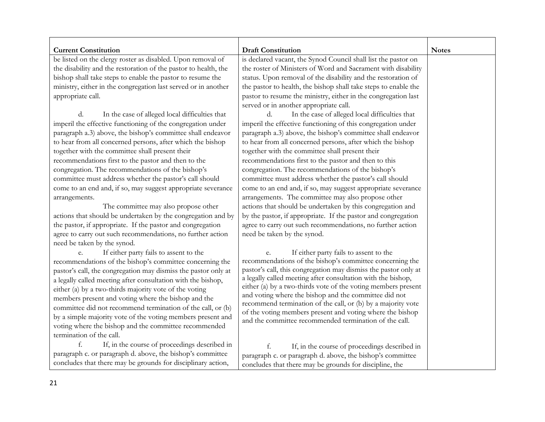| <b>Current Constitution</b>                                     | <b>Draft Constitution</b>                                                                                                       | <b>Notes</b> |
|-----------------------------------------------------------------|---------------------------------------------------------------------------------------------------------------------------------|--------------|
| be listed on the clergy roster as disabled. Upon removal of     | is declared vacant, the Synod Council shall list the pastor on                                                                  |              |
| the disability and the restoration of the pastor to health, the | the roster of Ministers of Word and Sacrament with disability                                                                   |              |
| bishop shall take steps to enable the pastor to resume the      | status. Upon removal of the disability and the restoration of                                                                   |              |
| ministry, either in the congregation last served or in another  | the pastor to health, the bishop shall take steps to enable the                                                                 |              |
| appropriate call.                                               | pastor to resume the ministry, either in the congregation last                                                                  |              |
|                                                                 | served or in another appropriate call.                                                                                          |              |
| d.<br>In the case of alleged local difficulties that            | In the case of alleged local difficulties that<br>d.                                                                            |              |
| imperil the effective functioning of the congregation under     | imperil the effective functioning of this congregation under                                                                    |              |
| paragraph a.3) above, the bishop's committee shall endeavor     | paragraph a.3) above, the bishop's committee shall endeavor                                                                     |              |
| to hear from all concerned persons, after which the bishop      | to hear from all concerned persons, after which the bishop                                                                      |              |
| together with the committee shall present their                 | together with the committee shall present their                                                                                 |              |
| recommendations first to the pastor and then to the             | recommendations first to the pastor and then to this                                                                            |              |
| congregation. The recommendations of the bishop's               | congregation. The recommendations of the bishop's                                                                               |              |
| committee must address whether the pastor's call should         | committee must address whether the pastor's call should                                                                         |              |
| come to an end and, if so, may suggest appropriate severance    | come to an end and, if so, may suggest appropriate severance                                                                    |              |
| arrangements.                                                   | arrangements. The committee may also propose other                                                                              |              |
| The committee may also propose other                            | actions that should be undertaken by this congregation and                                                                      |              |
| actions that should be undertaken by the congregation and by    | by the pastor, if appropriate. If the pastor and congregation                                                                   |              |
| the pastor, if appropriate. If the pastor and congregation      | agree to carry out such recommendations, no further action                                                                      |              |
| agree to carry out such recommendations, no further action      | need be taken by the synod.                                                                                                     |              |
| need be taken by the synod.                                     |                                                                                                                                 |              |
| If either party fails to assent to the<br>e.                    | If either party fails to assent to the<br>e.                                                                                    |              |
| recommendations of the bishop's committee concerning the        | recommendations of the bishop's committee concerning the                                                                        |              |
| pastor's call, the congregation may dismiss the pastor only at  | pastor's call, this congregation may dismiss the pastor only at<br>a legally called meeting after consultation with the bishop, |              |
| a legally called meeting after consultation with the bishop,    | either (a) by a two-thirds vote of the voting members present                                                                   |              |
| either (a) by a two-thirds majority vote of the voting          | and voting where the bishop and the committee did not                                                                           |              |
| members present and voting where the bishop and the             | recommend termination of the call, or (b) by a majority vote                                                                    |              |
| committee did not recommend termination of the call, or (b)     | of the voting members present and voting where the bishop                                                                       |              |
| by a simple majority vote of the voting members present and     | and the committee recommended termination of the call.                                                                          |              |
| voting where the bishop and the committee recommended           |                                                                                                                                 |              |
| termination of the call.                                        |                                                                                                                                 |              |
| f.<br>If, in the course of proceedings described in             | f.<br>If, in the course of proceedings described in                                                                             |              |
| paragraph c. or paragraph d. above, the bishop's committee      | paragraph c. or paragraph d. above, the bishop's committee                                                                      |              |
| concludes that there may be grounds for disciplinary action,    | concludes that there may be grounds for discipline, the                                                                         |              |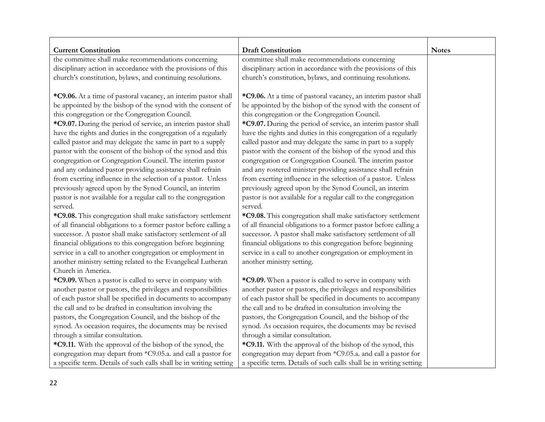| <b>Current Constitution</b>                                        | <b>Draft Constitution</b>                                          | <b>Notes</b> |
|--------------------------------------------------------------------|--------------------------------------------------------------------|--------------|
| the committee shall make recommendations concerning                | committee shall make recommendations concerning                    |              |
| disciplinary action in accordance with the provisions of this      | disciplinary action in accordance with the provisions of this      |              |
| church's constitution, bylaws, and continuing resolutions.         | church's constitution, bylaws, and continuing resolutions.         |              |
|                                                                    |                                                                    |              |
| *C9.06. At a time of pastoral vacancy, an interim pastor shall     | *C9.06. At a time of pastoral vacancy, an interim pastor shall     |              |
| be appointed by the bishop of the synod with the consent of        | be appointed by the bishop of the synod with the consent of        |              |
| this congregation or the Congregation Council.                     | this congregation or the Congregation Council.                     |              |
| *C9.07. During the period of service, an interim pastor shall      | *C9.07. During the period of service, an interim pastor shall      |              |
| have the rights and duties in the congregation of a regularly      | have the rights and duties in this congregation of a regularly     |              |
| called pastor and may delegate the same in part to a supply        | called pastor and may delegate the same in part to a supply        |              |
| pastor with the consent of the bishop of the synod and this        | pastor with the consent of the bishop of the synod and this        |              |
| congregation or Congregation Council. The interim pastor           | congregation or Congregation Council. The interim pastor           |              |
| and any ordained pastor providing assistance shall refrain         | and any rostered minister providing assistance shall refrain       |              |
| from exerting influence in the selection of a pastor. Unless       | from exerting influence in the selection of a pastor. Unless       |              |
| previously agreed upon by the Synod Council, an interim            | previously agreed upon by the Synod Council, an interim            |              |
| pastor is not available for a regular call to the congregation     | pastor is not available for a regular call to the congregation     |              |
| served.                                                            | served.                                                            |              |
| *C9.08. This congregation shall make satisfactory settlement       | *C9.08. This congregation shall make satisfactory settlement       |              |
| of all financial obligations to a former pastor before calling a   | of all financial obligations to a former pastor before calling a   |              |
| successor. A pastor shall make satisfactory settlement of all      | successor. A pastor shall make satisfactory settlement of all      |              |
| financial obligations to this congregation before beginning        | financial obligations to this congregation before beginning        |              |
| service in a call to another congregation or employment in         | service in a call to another congregation or employment in         |              |
| another ministry setting related to the Evangelical Lutheran       | another ministry setting.                                          |              |
| Church in America.                                                 |                                                                    |              |
| *C9.09. When a pastor is called to serve in company with           | *C9.09. When a pastor is called to serve in company with           |              |
| another pastor or pastors, the privileges and responsibilities     | another pastor or pastors, the privileges and responsibilities     |              |
| of each pastor shall be specified in documents to accompany        | of each pastor shall be specified in documents to accompany        |              |
| the call and to be drafted in consultation involving the           | the call and to be drafted in consultation involving the           |              |
| pastors, the Congregation Council, and the bishop of the           | pastors, the Congregation Council, and the bishop of the           |              |
| synod. As occasion requires, the documents may be revised          | synod. As occasion requires, the documents may be revised          |              |
| through a similar consultation.                                    | through a similar consultation.                                    |              |
| *C9.11. With the approval of the bishop of the synod, the          | *C9.11. With the approval of the bishop of the synod, this         |              |
| congregation may depart from *C9.05.a. and call a pastor for       | congregation may depart from *C9.05.a. and call a pastor for       |              |
| a specific term. Details of such calls shall be in writing setting | a specific term. Details of such calls shall be in writing setting |              |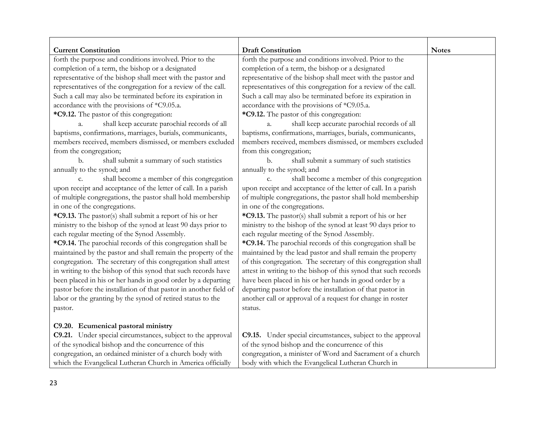| <b>Current Constitution</b>                                       | <b>Draft Constitution</b>                                       | <b>Notes</b> |
|-------------------------------------------------------------------|-----------------------------------------------------------------|--------------|
| forth the purpose and conditions involved. Prior to the           | forth the purpose and conditions involved. Prior to the         |              |
| completion of a term, the bishop or a designated                  | completion of a term, the bishop or a designated                |              |
| representative of the bishop shall meet with the pastor and       | representative of the bishop shall meet with the pastor and     |              |
| representatives of the congregation for a review of the call.     | representatives of this congregation for a review of the call.  |              |
| Such a call may also be terminated before its expiration in       | Such a call may also be terminated before its expiration in     |              |
| accordance with the provisions of *C9.05.a.                       | accordance with the provisions of *C9.05.a.                     |              |
| *C9.12. The pastor of this congregation:                          | *C9.12. The pastor of this congregation:                        |              |
| shall keep accurate parochial records of all<br>a.                | shall keep accurate parochial records of all                    |              |
| baptisms, confirmations, marriages, burials, communicants,        | baptisms, confirmations, marriages, burials, communicants,      |              |
| members received, members dismissed, or members excluded          | members received, members dismissed, or members excluded        |              |
| from the congregation;                                            | from this congregation;                                         |              |
| b.<br>shall submit a summary of such statistics                   | shall submit a summary of such statistics<br>b.                 |              |
| annually to the synod; and                                        | annually to the synod; and                                      |              |
| shall become a member of this congregation<br>c.                  | shall become a member of this congregation<br>$\mathcal{C}$ .   |              |
| upon receipt and acceptance of the letter of call. In a parish    | upon receipt and acceptance of the letter of call. In a parish  |              |
| of multiple congregations, the pastor shall hold membership       | of multiple congregations, the pastor shall hold membership     |              |
| in one of the congregations.                                      | in one of the congregations.                                    |              |
| *C9.13. The pastor(s) shall submit a report of his or her         | *C9.13. The pastor(s) shall submit a report of his or her       |              |
| ministry to the bishop of the synod at least 90 days prior to     | ministry to the bishop of the synod at least 90 days prior to   |              |
| each regular meeting of the Synod Assembly.                       | each regular meeting of the Synod Assembly.                     |              |
| *C9.14. The parochial records of this congregation shall be       | *C9.14. The parochial records of this congregation shall be     |              |
| maintained by the pastor and shall remain the property of the     | maintained by the lead pastor and shall remain the property     |              |
| congregation. The secretary of this congregation shall attest     | of this congregation. The secretary of this congregation shall  |              |
| in writing to the bishop of this synod that such records have     | attest in writing to the bishop of this synod that such records |              |
| been placed in his or her hands in good order by a departing      | have been placed in his or her hands in good order by a         |              |
| pastor before the installation of that pastor in another field of | departing pastor before the installation of that pastor in      |              |
| labor or the granting by the synod of retired status to the       | another call or approval of a request for change in roster      |              |
| pastor.                                                           | status.                                                         |              |
|                                                                   |                                                                 |              |
| C9.20. Ecumenical pastoral ministry                               |                                                                 |              |
| C9.21. Under special circumstances, subject to the approval       | C9.15. Under special circumstances, subject to the approval     |              |
| of the synodical bishop and the concurrence of this               | of the synod bishop and the concurrence of this                 |              |
| congregation, an ordained minister of a church body with          | congregation, a minister of Word and Sacrament of a church      |              |
| which the Evangelical Lutheran Church in America officially       | body with which the Evangelical Lutheran Church in              |              |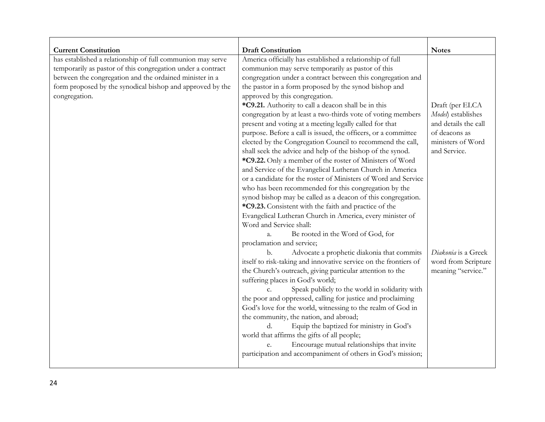| <b>Current Constitution</b>                                 | <b>Draft Constitution</b>                                        | <b>Notes</b>         |
|-------------------------------------------------------------|------------------------------------------------------------------|----------------------|
| has established a relationship of full communion may serve  | America officially has established a relationship of full        |                      |
| temporarily as pastor of this congregation under a contract | communion may serve temporarily as pastor of this                |                      |
| between the congregation and the ordained minister in a     | congregation under a contract between this congregation and      |                      |
| form proposed by the synodical bishop and approved by the   | the pastor in a form proposed by the synod bishop and            |                      |
| congregation.                                               | approved by this congregation.                                   |                      |
|                                                             | *C9.21. Authority to call a deacon shall be in this              | Draft (per ELCA      |
|                                                             | congregation by at least a two-thirds vote of voting members     | Model) establishes   |
|                                                             | present and voting at a meeting legally called for that          | and details the call |
|                                                             | purpose. Before a call is issued, the officers, or a committee   | of deacons as        |
|                                                             | elected by the Congregation Council to recommend the call,       | ministers of Word    |
|                                                             | shall seek the advice and help of the bishop of the synod.       | and Service.         |
|                                                             | *C9.22. Only a member of the roster of Ministers of Word         |                      |
|                                                             | and Service of the Evangelical Lutheran Church in America        |                      |
|                                                             | or a candidate for the roster of Ministers of Word and Service   |                      |
|                                                             | who has been recommended for this congregation by the            |                      |
|                                                             | synod bishop may be called as a deacon of this congregation.     |                      |
|                                                             | *C9.23. Consistent with the faith and practice of the            |                      |
|                                                             | Evangelical Lutheran Church in America, every minister of        |                      |
|                                                             | Word and Service shall:                                          |                      |
|                                                             | Be rooted in the Word of God, for<br>a.                          |                      |
|                                                             | proclamation and service;                                        |                      |
|                                                             | Advocate a prophetic diakonia that commits<br>b.                 | Diakonia is a Greek  |
|                                                             | itself to risk-taking and innovative service on the frontiers of | word from Scripture  |
|                                                             | the Church's outreach, giving particular attention to the        | meaning "service."   |
|                                                             | suffering places in God's world;                                 |                      |
|                                                             | Speak publicly to the world in solidarity with<br>$C_{\cdot}$    |                      |
|                                                             | the poor and oppressed, calling for justice and proclaiming      |                      |
|                                                             | God's love for the world, witnessing to the realm of God in      |                      |
|                                                             | the community, the nation, and abroad;                           |                      |
|                                                             | Equip the baptized for ministry in God's<br>d.                   |                      |
|                                                             | world that affirms the gifts of all people;                      |                      |
|                                                             | Encourage mutual relationships that invite<br>e.                 |                      |
|                                                             | participation and accompaniment of others in God's mission;      |                      |
|                                                             |                                                                  |                      |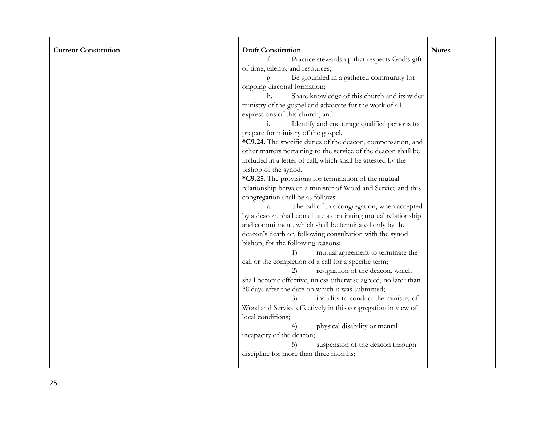| <b>Current Constitution</b> | <b>Draft Constitution</b>                                      | <b>Notes</b> |
|-----------------------------|----------------------------------------------------------------|--------------|
|                             | Practice stewardship that respects God's gift<br>$\mathbf{f}$  |              |
|                             | of time, talents, and resources;                               |              |
|                             | Be grounded in a gathered community for                        |              |
|                             | ongoing diaconal formation;                                    |              |
|                             | Share knowledge of this church and its wider<br>h.             |              |
|                             | ministry of the gospel and advocate for the work of all        |              |
|                             | expressions of this church; and                                |              |
|                             | Identify and encourage qualified persons to                    |              |
|                             | prepare for ministry of the gospel.                            |              |
|                             | *C9.24. The specific duties of the deacon, compensation, and   |              |
|                             | other matters pertaining to the service of the deacon shall be |              |
|                             | included in a letter of call, which shall be attested by the   |              |
|                             | bishop of the synod.                                           |              |
|                             | *C9.25. The provisions for termination of the mutual           |              |
|                             | relationship between a minister of Word and Service and this   |              |
|                             | congregation shall be as follows:                              |              |
|                             | The call of this congregation, when accepted<br>$\mathbf{a}$ . |              |
|                             | by a deacon, shall constitute a continuing mutual relationship |              |
|                             | and commitment, which shall be terminated only by the          |              |
|                             | deacon's death or, following consultation with the synod       |              |
|                             | bishop, for the following reasons:                             |              |
|                             | mutual agreement to terminate the<br>1)                        |              |
|                             | call or the completion of a call for a specific term;          |              |
|                             | resignation of the deacon, which<br>2)                         |              |
|                             | shall become effective, unless otherwise agreed, no later than |              |
|                             | 30 days after the date on which it was submitted;              |              |
|                             | inability to conduct the ministry of<br>3)                     |              |
|                             | Word and Service effectively in this congregation in view of   |              |
|                             | local conditions;                                              |              |
|                             | physical disability or mental<br>4)                            |              |
|                             | incapacity of the deacon;                                      |              |
|                             | suspension of the deacon through<br>5)                         |              |
|                             | discipline for more than three months;                         |              |
|                             |                                                                |              |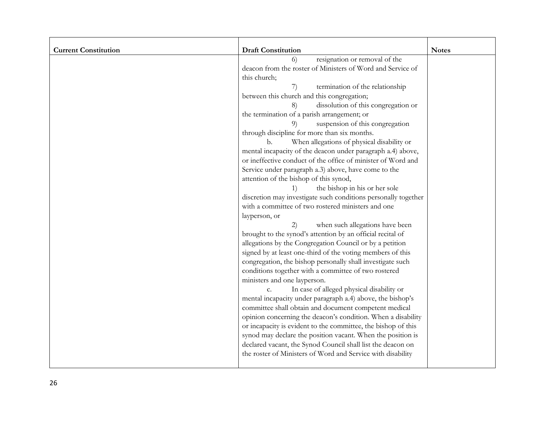| <b>Current Constitution</b> | <b>Draft Constitution</b>                                      | <b>Notes</b> |
|-----------------------------|----------------------------------------------------------------|--------------|
|                             | resignation or removal of the<br>6)                            |              |
|                             | deacon from the roster of Ministers of Word and Service of     |              |
|                             | this church;                                                   |              |
|                             | termination of the relationship<br>7)                          |              |
|                             | between this church and this congregation;                     |              |
|                             | dissolution of this congregation or<br>8)                      |              |
|                             | the termination of a parish arrangement; or                    |              |
|                             | suspension of this congregation<br>9)                          |              |
|                             | through discipline for more than six months.                   |              |
|                             | When allegations of physical disability or<br>b.               |              |
|                             | mental incapacity of the deacon under paragraph a.4) above,    |              |
|                             | or ineffective conduct of the office of minister of Word and   |              |
|                             | Service under paragraph a.3) above, have come to the           |              |
|                             | attention of the bishop of this synod,                         |              |
|                             | the bishop in his or her sole<br>1)                            |              |
|                             | discretion may investigate such conditions personally together |              |
|                             | with a committee of two rostered ministers and one             |              |
|                             | layperson, or                                                  |              |
|                             | when such allegations have been<br>2)                          |              |
|                             | brought to the synod's attention by an official recital of     |              |
|                             | allegations by the Congregation Council or by a petition       |              |
|                             | signed by at least one-third of the voting members of this     |              |
|                             | congregation, the bishop personally shall investigate such     |              |
|                             | conditions together with a committee of two rostered           |              |
|                             | ministers and one layperson.                                   |              |
|                             | In case of alleged physical disability or<br>$C_{\cdot}$       |              |
|                             | mental incapacity under paragraph a.4) above, the bishop's     |              |
|                             | committee shall obtain and document competent medical          |              |
|                             | opinion concerning the deacon's condition. When a disability   |              |
|                             | or incapacity is evident to the committee, the bishop of this  |              |
|                             | synod may declare the position vacant. When the position is    |              |
|                             | declared vacant, the Synod Council shall list the deacon on    |              |
|                             | the roster of Ministers of Word and Service with disability    |              |
|                             |                                                                |              |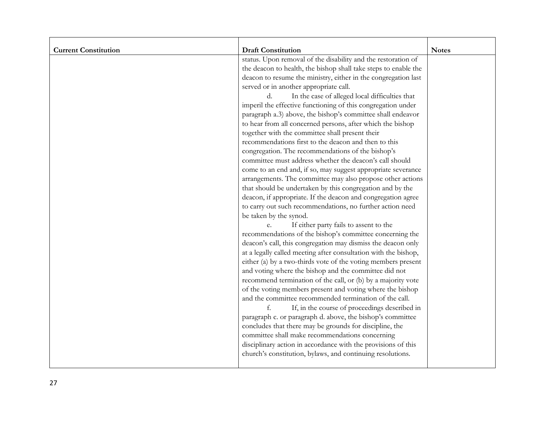| <b>Current Constitution</b> | <b>Draft Constitution</b>                                       | <b>Notes</b> |
|-----------------------------|-----------------------------------------------------------------|--------------|
|                             | status. Upon removal of the disability and the restoration of   |              |
|                             | the deacon to health, the bishop shall take steps to enable the |              |
|                             | deacon to resume the ministry, either in the congregation last  |              |
|                             | served or in another appropriate call.                          |              |
|                             | In the case of alleged local difficulties that<br>d.            |              |
|                             | imperil the effective functioning of this congregation under    |              |
|                             | paragraph a.3) above, the bishop's committee shall endeavor     |              |
|                             | to hear from all concerned persons, after which the bishop      |              |
|                             | together with the committee shall present their                 |              |
|                             | recommendations first to the deacon and then to this            |              |
|                             | congregation. The recommendations of the bishop's               |              |
|                             | committee must address whether the deacon's call should         |              |
|                             | come to an end and, if so, may suggest appropriate severance    |              |
|                             | arrangements. The committee may also propose other actions      |              |
|                             | that should be undertaken by this congregation and by the       |              |
|                             | deacon, if appropriate. If the deacon and congregation agree    |              |
|                             | to carry out such recommendations, no further action need       |              |
|                             | be taken by the synod.                                          |              |
|                             | If either party fails to assent to the                          |              |
|                             | recommendations of the bishop's committee concerning the        |              |
|                             | deacon's call, this congregation may dismiss the deacon only    |              |
|                             | at a legally called meeting after consultation with the bishop, |              |
|                             | either (a) by a two-thirds vote of the voting members present   |              |
|                             | and voting where the bishop and the committee did not           |              |
|                             | recommend termination of the call, or (b) by a majority vote    |              |
|                             | of the voting members present and voting where the bishop       |              |
|                             | and the committee recommended termination of the call.          |              |
|                             | If, in the course of proceedings described in                   |              |
|                             | paragraph c. or paragraph d. above, the bishop's committee      |              |
|                             | concludes that there may be grounds for discipline, the         |              |
|                             | committee shall make recommendations concerning                 |              |
|                             | disciplinary action in accordance with the provisions of this   |              |
|                             | church's constitution, bylaws, and continuing resolutions.      |              |
|                             |                                                                 |              |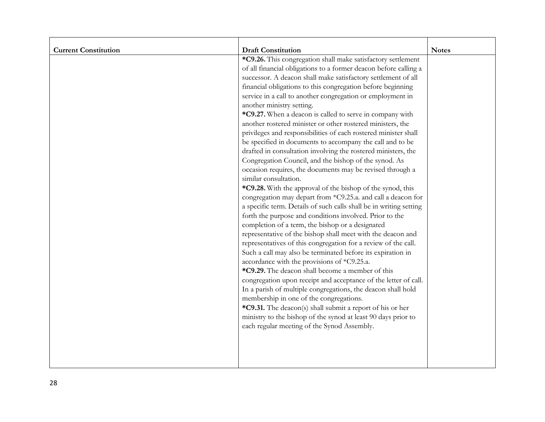| <b>Current Constitution</b> | <b>Draft Constitution</b>                                          | <b>Notes</b> |
|-----------------------------|--------------------------------------------------------------------|--------------|
|                             | *C9.26. This congregation shall make satisfactory settlement       |              |
|                             | of all financial obligations to a former deacon before calling a   |              |
|                             | successor. A deacon shall make satisfactory settlement of all      |              |
|                             | financial obligations to this congregation before beginning        |              |
|                             | service in a call to another congregation or employment in         |              |
|                             | another ministry setting.                                          |              |
|                             | *C9.27. When a deacon is called to serve in company with           |              |
|                             | another rostered minister or other rostered ministers, the         |              |
|                             | privileges and responsibilities of each rostered minister shall    |              |
|                             | be specified in documents to accompany the call and to be          |              |
|                             | drafted in consultation involving the rostered ministers, the      |              |
|                             | Congregation Council, and the bishop of the synod. As              |              |
|                             | occasion requires, the documents may be revised through a          |              |
|                             | similar consultation.                                              |              |
|                             | *C9.28. With the approval of the bishop of the synod, this         |              |
|                             | congregation may depart from *C9.25.a. and call a deacon for       |              |
|                             | a specific term. Details of such calls shall be in writing setting |              |
|                             | forth the purpose and conditions involved. Prior to the            |              |
|                             | completion of a term, the bishop or a designated                   |              |
|                             | representative of the bishop shall meet with the deacon and        |              |
|                             | representatives of this congregation for a review of the call.     |              |
|                             | Such a call may also be terminated before its expiration in        |              |
|                             | accordance with the provisions of *C9.25.a.                        |              |
|                             | *C9.29. The deacon shall become a member of this                   |              |
|                             | congregation upon receipt and acceptance of the letter of call.    |              |
|                             | In a parish of multiple congregations, the deacon shall hold       |              |
|                             | membership in one of the congregations.                            |              |
|                             | *C9.31. The deacon(s) shall submit a report of his or her          |              |
|                             | ministry to the bishop of the synod at least 90 days prior to      |              |
|                             | each regular meeting of the Synod Assembly.                        |              |
|                             |                                                                    |              |
|                             |                                                                    |              |
|                             |                                                                    |              |
|                             |                                                                    |              |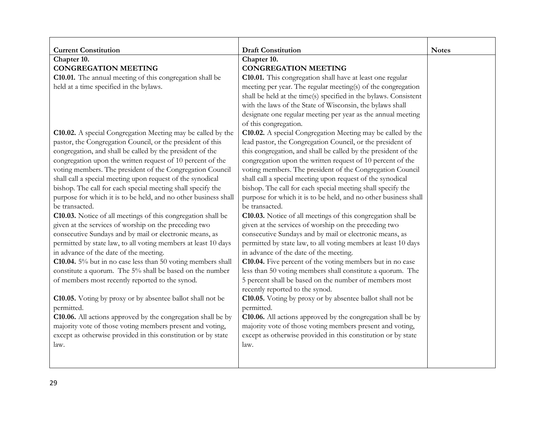| <b>Current Constitution</b>                                        | <b>Draft Constitution</b>                                        | <b>Notes</b> |
|--------------------------------------------------------------------|------------------------------------------------------------------|--------------|
| Chapter 10.                                                        | Chapter 10.                                                      |              |
| <b>CONGREGATION MEETING</b>                                        | <b>CONGREGATION MEETING</b>                                      |              |
| C10.01. The annual meeting of this congregation shall be           | C10.01. This congregation shall have at least one regular        |              |
| held at a time specified in the bylaws.                            | meeting per year. The regular meeting(s) of the congregation     |              |
|                                                                    | shall be held at the time(s) specified in the bylaws. Consistent |              |
|                                                                    | with the laws of the State of Wisconsin, the bylaws shall        |              |
|                                                                    | designate one regular meeting per year as the annual meeting     |              |
|                                                                    | of this congregation.                                            |              |
| <b>C10.02.</b> A special Congregation Meeting may be called by the | C10.02. A special Congregation Meeting may be called by the      |              |
| pastor, the Congregation Council, or the president of this         | lead pastor, the Congregation Council, or the president of       |              |
| congregation, and shall be called by the president of the          | this congregation, and shall be called by the president of the   |              |
| congregation upon the written request of 10 percent of the         | congregation upon the written request of 10 percent of the       |              |
| voting members. The president of the Congregation Council          | voting members. The president of the Congregation Council        |              |
| shall call a special meeting upon request of the synodical         | shall call a special meeting upon request of the synodical       |              |
| bishop. The call for each special meeting shall specify the        | bishop. The call for each special meeting shall specify the      |              |
| purpose for which it is to be held, and no other business shall    | purpose for which it is to be held, and no other business shall  |              |
| be transacted.                                                     | be transacted.                                                   |              |
| C10.03. Notice of all meetings of this congregation shall be       | C10.03. Notice of all meetings of this congregation shall be     |              |
| given at the services of worship on the preceding two              | given at the services of worship on the preceding two            |              |
| consecutive Sundays and by mail or electronic means, as            | consecutive Sundays and by mail or electronic means, as          |              |
| permitted by state law, to all voting members at least 10 days     | permitted by state law, to all voting members at least 10 days   |              |
| in advance of the date of the meeting.                             | in advance of the date of the meeting.                           |              |
| C10.04. 5% but in no case less than 50 voting members shall        | C10.04. Five percent of the voting members but in no case        |              |
| constitute a quorum. The 5% shall be based on the number           | less than 50 voting members shall constitute a quorum. The       |              |
| of members most recently reported to the synod.                    | 5 percent shall be based on the number of members most           |              |
|                                                                    | recently reported to the synod.                                  |              |
| C10.05. Voting by proxy or by absentee ballot shall not be         | C10.05. Voting by proxy or by absentee ballot shall not be       |              |
| permitted.                                                         | permitted.                                                       |              |
| C10.06. All actions approved by the congregation shall be by       | C10.06. All actions approved by the congregation shall be by     |              |
| majority vote of those voting members present and voting,          | majority vote of those voting members present and voting,        |              |
| except as otherwise provided in this constitution or by state      | except as otherwise provided in this constitution or by state    |              |
| law.                                                               | law.                                                             |              |
|                                                                    |                                                                  |              |
|                                                                    |                                                                  |              |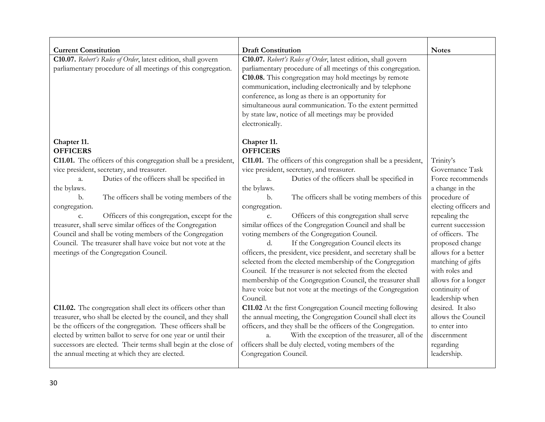| <b>Current Constitution</b>                                            | <b>Draft Constitution</b>                                         | <b>Notes</b>          |
|------------------------------------------------------------------------|-------------------------------------------------------------------|-----------------------|
| C10.07. Robert's Rules of Order, latest edition, shall govern          | C10.07. Robert's Rules of Order, latest edition, shall govern     |                       |
| parliamentary procedure of all meetings of this congregation.          | parliamentary procedure of all meetings of this congregation.     |                       |
|                                                                        | C10.08. This congregation may hold meetings by remote             |                       |
|                                                                        | communication, including electronically and by telephone          |                       |
|                                                                        | conference, as long as there is an opportunity for                |                       |
|                                                                        | simultaneous aural communication. To the extent permitted         |                       |
|                                                                        | by state law, notice of all meetings may be provided              |                       |
|                                                                        | electronically.                                                   |                       |
| Chapter 11.                                                            | Chapter 11.                                                       |                       |
| <b>OFFICERS</b>                                                        | <b>OFFICERS</b>                                                   |                       |
| <b>C11.01.</b> The officers of this congregation shall be a president, | C11.01. The officers of this congregation shall be a president,   | Trinity's             |
| vice president, secretary, and treasurer.                              | vice president, secretary, and treasurer.                         | Governance Task       |
| Duties of the officers shall be specified in<br>a.                     | Duties of the officers shall be specified in<br>a.                | Force recommends      |
| the bylaws.                                                            | the bylaws.                                                       | a change in the       |
| The officers shall be voting members of the<br>b.                      | b.<br>The officers shall be voting members of this                | procedure of          |
| congregation.                                                          | congregation.                                                     | electing officers and |
| Officers of this congregation, except for the<br>c.                    | Officers of this congregation shall serve<br>c.                   | repealing the         |
| treasurer, shall serve similar offices of the Congregation             | similar offices of the Congregation Council and shall be          | current succession    |
| Council and shall be voting members of the Congregation                | voting members of the Congregation Council.                       | of officers. The      |
| Council. The treasurer shall have voice but not vote at the            | If the Congregation Council elects its<br>d.                      | proposed change       |
| meetings of the Congregation Council.                                  | officers, the president, vice president, and secretary shall be   | allows for a better   |
|                                                                        | selected from the elected membership of the Congregation          | matching of gifts     |
|                                                                        | Council. If the treasurer is not selected from the elected        | with roles and        |
|                                                                        | membership of the Congregation Council, the treasurer shall       | allows for a longer   |
|                                                                        | have voice but not vote at the meetings of the Congregation       | continuity of         |
|                                                                        | Council.                                                          | leadership when       |
| C11.02. The congregation shall elect its officers other than           | C11.02 At the first Congregation Council meeting following        | desired. It also      |
| treasurer, who shall be elected by the council, and they shall         | the annual meeting, the Congregation Council shall elect its      | allows the Council    |
| be the officers of the congregation. These officers shall be           | officers, and they shall be the officers of the Congregation.     | to enter into         |
| elected by written ballot to serve for one year or until their         | With the exception of the treasurer, all of the<br>$\mathbf{a}$ . | discernment           |
| successors are elected. Their terms shall begin at the close of        | officers shall be duly elected, voting members of the             | regarding             |
| the annual meeting at which they are elected.                          | Congregation Council.                                             | leadership.           |
|                                                                        |                                                                   |                       |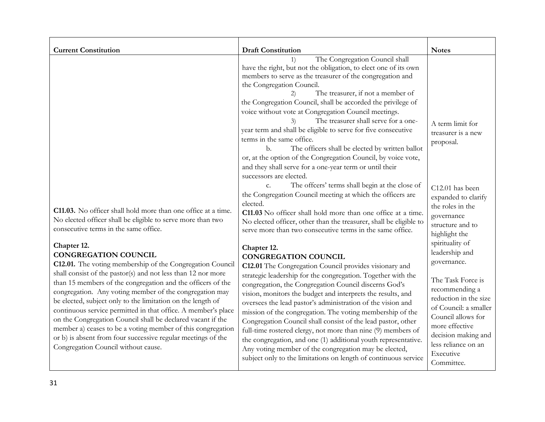| The Congregation Council shall<br>1)<br>have the right, but not the obligation, to elect one of its own<br>members to serve as the treasurer of the congregation and<br>the Congregation Council.<br>The treasurer, if not a member of<br>the Congregation Council, shall be accorded the privilege of<br>voice without vote at Congregation Council meetings.<br>The treasurer shall serve for a one-<br>3)<br>year term and shall be eligible to serve for five consecutive<br>terms in the same office.<br>proposal.<br>$\mathbf{b}$ .<br>The officers shall be elected by written ballot<br>or, at the option of the Congregation Council, by voice vote,<br>and they shall serve for a one-year term or until their<br>successors are elected.<br>The offcers' terms shall begin at the close of<br>$\mathbf{C}$ .<br>the Congregation Council meeting at which the officers are<br>elected.<br>the roles in the<br>C11.03. No officer shall hold more than one office at a time.<br>C11.03 No officer shall hold more than one office at a time.<br>governance<br>No elected officer shall be eligible to serve more than two<br>No elected officer, other than the treasurer, shall be eligible to                                                                                                                                                                                                                                                                                                                                                               |                             |                           |                                                                                                                                                                                                                                                                                   |
|-------------------------------------------------------------------------------------------------------------------------------------------------------------------------------------------------------------------------------------------------------------------------------------------------------------------------------------------------------------------------------------------------------------------------------------------------------------------------------------------------------------------------------------------------------------------------------------------------------------------------------------------------------------------------------------------------------------------------------------------------------------------------------------------------------------------------------------------------------------------------------------------------------------------------------------------------------------------------------------------------------------------------------------------------------------------------------------------------------------------------------------------------------------------------------------------------------------------------------------------------------------------------------------------------------------------------------------------------------------------------------------------------------------------------------------------------------------------------------------------------------------------------------------------------------------------------|-----------------------------|---------------------------|-----------------------------------------------------------------------------------------------------------------------------------------------------------------------------------------------------------------------------------------------------------------------------------|
| consecutive terms in the same office.<br>serve more than two consecutive terms in the same office.<br>highlight the<br>spirituality of<br>Chapter 12.<br>Chapter 12.<br>leadership and<br><b>CONGREGATION COUNCIL</b><br><b>CONGREGATION COUNCIL</b><br>governance.<br>C12.01. The voting membership of the Congregation Council<br>C12.01 The Congregation Council provides visionary and<br>shall consist of the pastor(s) and not less than 12 nor more<br>strategic leadership for the congregation. Together with the<br>than 15 members of the congregation and the officers of the<br>congregation, the Congregation Council discerns God's<br>congregation. Any voting member of the congregation may<br>vision, monitors the budget and interprets the results, and<br>be elected, subject only to the limitation on the length of<br>oversees the lead pastor's administration of the vision and<br>continuous service permitted in that office. A member's place<br>mission of the congregation. The voting membership of the<br>on the Congregation Council shall be declared vacant if the<br>Congregation Council shall consist of the lead pastor, other<br>more effective<br>member a) ceases to be a voting member of this congregation<br>full-time rostered clergy, not more than nine (9) members of<br>or b) is absent from four successive regular meetings of the<br>the congregation, and one (1) additional youth representative.<br>Congregation Council without cause.<br>Any voting member of the congregation may be elected,<br>Executive | <b>Current Constitution</b> | <b>Draft Constitution</b> | <b>Notes</b><br>A term limit for<br>treasurer is a new<br>C12.01 has been<br>expanded to clarify<br>structure and to<br>The Task Force is<br>recommending a<br>reduction in the size<br>of Council: a smaller<br>Council allows for<br>decision making and<br>less reliance on an |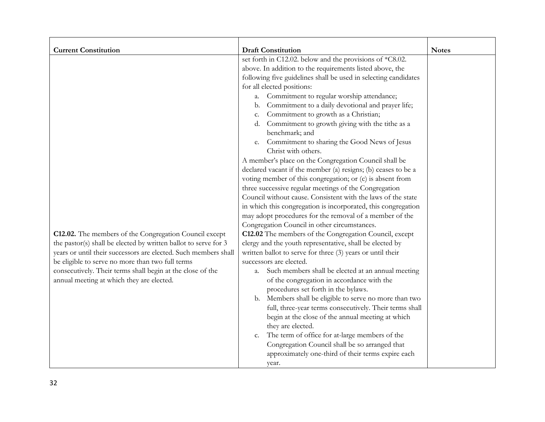| <b>Current Constitution</b>                                                                                                                                                                                                                                                                                                                                 | <b>Draft Constitution</b>                                                                                                                                                                                                                                                                                                                                                                                                                                                                                                                                                                                                                                                                                                                                                                                                                                                                                                                                                                                                                                                                                                                                                                                                                                                                                                                                                                                                                                                                                                                                                                                                                                                                                                                                                                     | <b>Notes</b> |
|-------------------------------------------------------------------------------------------------------------------------------------------------------------------------------------------------------------------------------------------------------------------------------------------------------------------------------------------------------------|-----------------------------------------------------------------------------------------------------------------------------------------------------------------------------------------------------------------------------------------------------------------------------------------------------------------------------------------------------------------------------------------------------------------------------------------------------------------------------------------------------------------------------------------------------------------------------------------------------------------------------------------------------------------------------------------------------------------------------------------------------------------------------------------------------------------------------------------------------------------------------------------------------------------------------------------------------------------------------------------------------------------------------------------------------------------------------------------------------------------------------------------------------------------------------------------------------------------------------------------------------------------------------------------------------------------------------------------------------------------------------------------------------------------------------------------------------------------------------------------------------------------------------------------------------------------------------------------------------------------------------------------------------------------------------------------------------------------------------------------------------------------------------------------------|--------------|
| C12.02. The members of the Congregation Council except<br>the pastor(s) shall be elected by written ballot to serve for 3<br>years or until their successors are elected. Such members shall<br>be eligible to serve no more than two full terms<br>consecutively. Their terms shall begin at the close of the<br>annual meeting at which they are elected. | set forth in C12.02. below and the provisions of $\sqrt{\text{C}8.02}$ .<br>above. In addition to the requirements listed above, the<br>following five guidelines shall be used in selecting candidates<br>for all elected positions:<br>Commitment to regular worship attendance;<br>a.<br>Commitment to a daily devotional and prayer life;<br>b.<br>Commitment to growth as a Christian;<br>c.<br>Commitment to growth giving with the tithe as a<br>d.<br>benchmark; and<br>Commitment to sharing the Good News of Jesus<br>e.<br>Christ with others.<br>A member's place on the Congregation Council shall be<br>declared vacant if the member (a) resigns; (b) ceases to be a<br>voting member of this congregation; or (c) is absent from<br>three successive regular meetings of the Congregation<br>Council without cause. Consistent with the laws of the state<br>in which this congregation is incorporated, this congregation<br>may adopt procedures for the removal of a member of the<br>Congregation Council in other circumstances.<br>C12.02 The members of the Congregation Council, except<br>clergy and the youth representative, shall be elected by<br>written ballot to serve for three (3) years or until their<br>successors are elected.<br>Such members shall be elected at an annual meeting<br>a.<br>of the congregation in accordance with the<br>procedures set forth in the bylaws.<br>b. Members shall be eligible to serve no more than two<br>full, three-year terms consecutively. Their terms shall<br>begin at the close of the annual meeting at which<br>they are elected.<br>The term of office for at-large members of the<br>c.<br>Congregation Council shall be so arranged that<br>approximately one-third of their terms expire each<br>year. |              |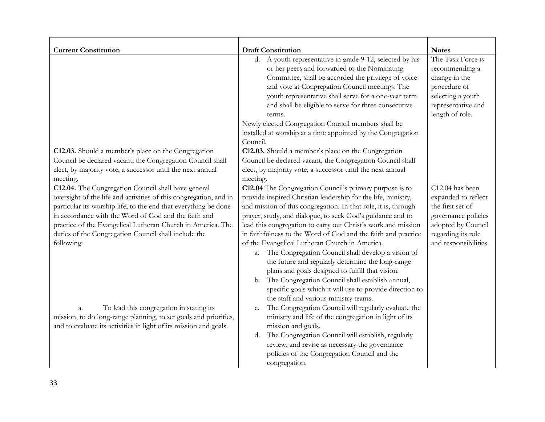| <b>Current Constitution</b><br>C12.03. Should a member's place on the Congregation<br>Council be declared vacant, the Congregation Council shall<br>elect, by majority vote, a successor until the next annual<br>meeting.                                                                                                                                                               | <b>Draft Constitution</b><br>d. A youth representative in grade 9-12, selected by his<br>or her peers and forwarded to the Nominating<br>Committee, shall be accorded the privilege of voice<br>and vote at Congregation Council meetings. The<br>youth representative shall serve for a one-year term<br>and shall be eligible to serve for three consecutive<br>terms.<br>Newly elected Congregation Council members shall be<br>installed at worship at a time appointed by the Congregation<br>Council.<br>C12.03. Should a member's place on the Congregation<br>Council be declared vacant, the Congregation Council shall<br>elect, by majority vote, a successor until the next annual<br>meeting.                                                                       | <b>Notes</b><br>The Task Force is<br>recommending a<br>change in the<br>procedure of<br>selecting a youth<br>representative and<br>length of role.     |
|------------------------------------------------------------------------------------------------------------------------------------------------------------------------------------------------------------------------------------------------------------------------------------------------------------------------------------------------------------------------------------------|----------------------------------------------------------------------------------------------------------------------------------------------------------------------------------------------------------------------------------------------------------------------------------------------------------------------------------------------------------------------------------------------------------------------------------------------------------------------------------------------------------------------------------------------------------------------------------------------------------------------------------------------------------------------------------------------------------------------------------------------------------------------------------|--------------------------------------------------------------------------------------------------------------------------------------------------------|
| C12.04. The Congregation Council shall have general<br>oversight of the life and activities of this congregation, and in<br>particular its worship life, to the end that everything be done<br>in accordance with the Word of God and the faith and<br>practice of the Evangelical Lutheran Church in America. The<br>duties of the Congregation Council shall include the<br>following: | C12.04 The Congregation Council's primary purpose is to<br>provide inspired Christian leadership for the life, ministry,<br>and mission of this congregation. In that role, it is, through<br>prayer, study, and dialogue, to seek God's guidance and to<br>lead this congregation to carry out Christ's work and mission<br>in faithfulness to the Word of God and the faith and practice<br>of the Evangelical Lutheran Church in America.<br>The Congregation Council shall develop a vision of<br>a.<br>the future and regularly determine the long-range<br>plans and goals designed to fulfill that vision.<br>The Congregation Council shall establish annual,<br>b.<br>specific goals which it will use to provide direction to<br>the staff and various ministry teams. | C12.04 has been<br>expanded to reflect<br>the first set of<br>governance policies<br>adopted by Council<br>regarding its role<br>and responsibilities. |
| To lead this congregation in stating its<br>a.<br>mission, to do long-range planning, to set goals and priorities,<br>and to evaluate its activities in light of its mission and goals.                                                                                                                                                                                                  | The Congregation Council will regularly evaluate the<br>c.<br>ministry and life of the congregation in light of its<br>mission and goals.<br>The Congregation Council will establish, regularly<br>d.<br>review, and revise as necessary the governance<br>policies of the Congregation Council and the<br>congregation.                                                                                                                                                                                                                                                                                                                                                                                                                                                         |                                                                                                                                                        |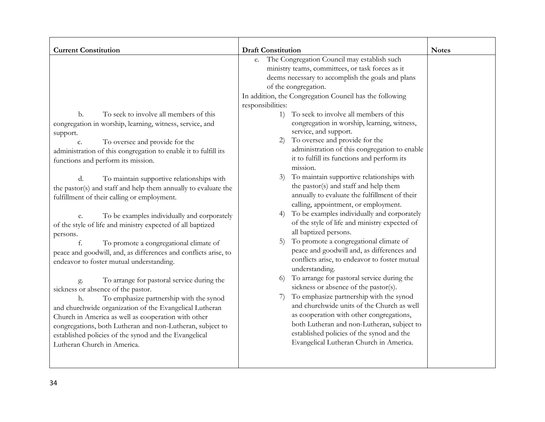| <b>Current Constitution</b>                                                                                                                                                                                                                                                                                                                                                                                                                                                                                                                                                                                                                                                                                                                                                                                                                                                                                                                                                                                                                                                                                                                               | <b>Draft Constitution</b>                                                                                                                                                                                                                                                                                                                                                                                                                                                                                                                                                                                                                                                                                                                                                                                                                                                                                                                                                                                                                                                                                                                                                                                                                                                                                                                                                                                         | <b>Notes</b> |
|-----------------------------------------------------------------------------------------------------------------------------------------------------------------------------------------------------------------------------------------------------------------------------------------------------------------------------------------------------------------------------------------------------------------------------------------------------------------------------------------------------------------------------------------------------------------------------------------------------------------------------------------------------------------------------------------------------------------------------------------------------------------------------------------------------------------------------------------------------------------------------------------------------------------------------------------------------------------------------------------------------------------------------------------------------------------------------------------------------------------------------------------------------------|-------------------------------------------------------------------------------------------------------------------------------------------------------------------------------------------------------------------------------------------------------------------------------------------------------------------------------------------------------------------------------------------------------------------------------------------------------------------------------------------------------------------------------------------------------------------------------------------------------------------------------------------------------------------------------------------------------------------------------------------------------------------------------------------------------------------------------------------------------------------------------------------------------------------------------------------------------------------------------------------------------------------------------------------------------------------------------------------------------------------------------------------------------------------------------------------------------------------------------------------------------------------------------------------------------------------------------------------------------------------------------------------------------------------|--------------|
| To seek to involve all members of this<br>b.<br>congregation in worship, learning, witness, service, and<br>support.<br>To oversee and provide for the<br>c.<br>administration of this congregation to enable it to fulfill its<br>functions and perform its mission.<br>d.<br>To maintain supportive relationships with<br>the pastor(s) and staff and help them annually to evaluate the<br>fulfillment of their calling or employment.<br>To be examples individually and corporately<br>e.<br>of the style of life and ministry expected of all baptized<br>persons.<br>f.<br>To promote a congregational climate of<br>peace and goodwill, and, as differences and conflicts arise, to<br>endeavor to foster mutual understanding.<br>To arrange for pastoral service during the<br>g.<br>sickness or absence of the pastor.<br>To emphasize partnership with the synod<br>h.<br>and churchwide organization of the Evangelical Lutheran<br>Church in America as well as cooperation with other<br>congregations, both Lutheran and non-Lutheran, subject to<br>established policies of the synod and the Evangelical<br>Lutheran Church in America. | The Congregation Council may establish such<br>e.<br>ministry teams, committees, or task forces as it<br>deems necessary to accomplish the goals and plans<br>of the congregation.<br>In addition, the Congregation Council has the following<br>responsibilities:<br>To seek to involve all members of this<br>1)<br>congregation in worship, learning, witness,<br>service, and support.<br>To oversee and provide for the<br>2)<br>administration of this congregation to enable<br>it to fulfill its functions and perform its<br>mission.<br>To maintain supportive relationships with<br>3)<br>the pastor(s) and staff and help them<br>annually to evaluate the fulfillment of their<br>calling, appointment, or employment.<br>To be examples individually and corporately<br>4)<br>of the style of life and ministry expected of<br>all baptized persons.<br>To promote a congregational climate of<br>5)<br>peace and goodwill and, as differences and<br>conflicts arise, to endeavor to foster mutual<br>understanding.<br>To arrange for pastoral service during the<br>6)<br>sickness or absence of the pastor(s).<br>To emphasize partnership with the synod<br>7)<br>and churchwide units of the Church as well<br>as cooperation with other congregations,<br>both Lutheran and non-Lutheran, subject to<br>established policies of the synod and the<br>Evangelical Lutheran Church in America. |              |
|                                                                                                                                                                                                                                                                                                                                                                                                                                                                                                                                                                                                                                                                                                                                                                                                                                                                                                                                                                                                                                                                                                                                                           |                                                                                                                                                                                                                                                                                                                                                                                                                                                                                                                                                                                                                                                                                                                                                                                                                                                                                                                                                                                                                                                                                                                                                                                                                                                                                                                                                                                                                   |              |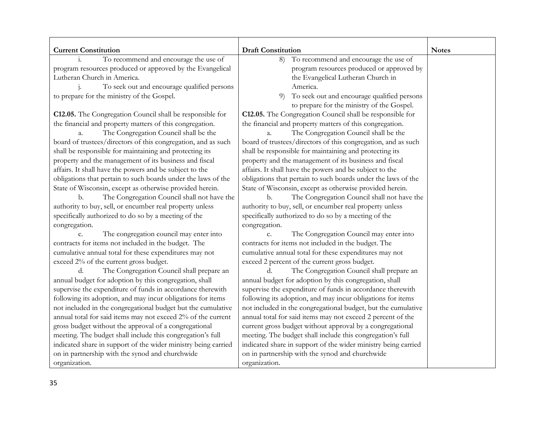| <b>Current Constitution</b>                                    | <b>Draft Constitution</b>                                      | <b>Notes</b> |
|----------------------------------------------------------------|----------------------------------------------------------------|--------------|
| To recommend and encourage the use of<br>i.                    | To recommend and encourage the use of<br>8)                    |              |
| program resources produced or approved by the Evangelical      | program resources produced or approved by                      |              |
| Lutheran Church in America.                                    | the Evangelical Lutheran Church in                             |              |
| To seek out and encourage qualified persons                    | America.                                                       |              |
| to prepare for the ministry of the Gospel.                     | To seek out and encourage qualified persons<br>9)              |              |
|                                                                | to prepare for the ministry of the Gospel.                     |              |
| C12.05. The Congregation Council shall be responsible for      | C12.05. The Congregation Council shall be responsible for      |              |
| the financial and property matters of this congregation.       | the financial and property matters of this congregation.       |              |
| The Congregation Council shall be the<br>a.                    | The Congregation Council shall be the<br>a.                    |              |
| board of trustees/directors of this congregation, and as such  | board of trustees/directors of this congregation, and as such  |              |
| shall be responsible for maintaining and protecting its        | shall be responsible for maintaining and protecting its        |              |
| property and the management of its business and fiscal         | property and the management of its business and fiscal         |              |
| affairs. It shall have the powers and be subject to the        | affairs. It shall have the powers and be subject to the        |              |
| obligations that pertain to such boards under the laws of the  | obligations that pertain to such boards under the laws of the  |              |
| State of Wisconsin, except as otherwise provided herein.       | State of Wisconsin, except as otherwise provided herein.       |              |
| The Congregation Council shall not have the<br>b.              | The Congregation Council shall not have the<br>b.              |              |
| authority to buy, sell, or encumber real property unless       | authority to buy, sell, or encumber real property unless       |              |
| specifically authorized to do so by a meeting of the           | specifically authorized to do so by a meeting of the           |              |
| congregation.                                                  | congregation.                                                  |              |
| The congregation council may enter into<br>c.                  | The Congregation Council may enter into<br>c.                  |              |
| contracts for items not included in the budget. The            | contracts for items not included in the budget. The            |              |
| cumulative annual total for these expenditures may not         | cumulative annual total for these expenditures may not         |              |
| exceed 2% of the current gross budget.                         | exceed 2 percent of the current gross budget.                  |              |
| The Congregation Council shall prepare an<br>d.                | The Congregation Council shall prepare an<br>d.                |              |
| annual budget for adoption by this congregation, shall         | annual budget for adoption by this congregation, shall         |              |
| supervise the expenditure of funds in accordance therewith     | supervise the expenditure of funds in accordance therewith     |              |
| following its adoption, and may incur obligations for items    | following its adoption, and may incur obligations for items    |              |
| not included in the congregational budget but the cumulative   | not included in the congregational budget, but the cumulative  |              |
| annual total for said items may not exceed 2% of the current   | annual total for said items may not exceed 2 percent of the    |              |
| gross budget without the approval of a congregational          | current gross budget without approval by a congregational      |              |
| meeting. The budget shall include this congregation's full     | meeting. The budget shall include this congregation's full     |              |
| indicated share in support of the wider ministry being carried | indicated share in support of the wider ministry being carried |              |
| on in partnership with the synod and churchwide                | on in partnership with the synod and churchwide                |              |
| organization.                                                  | organization.                                                  |              |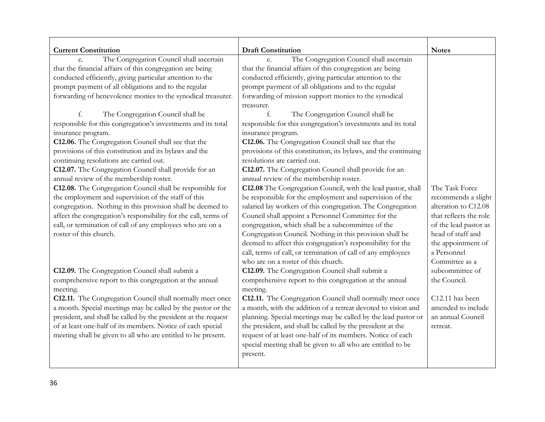| <b>Current Constitution</b>                                     | <b>Draft Constitution</b>                                           | <b>Notes</b>           |
|-----------------------------------------------------------------|---------------------------------------------------------------------|------------------------|
| The Congregation Council shall ascertain<br>e.                  | The Congregation Council shall ascertain<br>e.                      |                        |
| that the financial affairs of this congregation are being       | that the financial affairs of this congregation are being           |                        |
| conducted efficiently, giving particular attention to the       | conducted efficiently, giving particular attention to the           |                        |
| prompt payment of all obligations and to the regular            | prompt payment of all obligations and to the regular                |                        |
| forwarding of benevolence monies to the synodical treasurer.    | forwarding of mission support monies to the synodical<br>treasurer. |                        |
| f.<br>The Congregation Council shall be                         | The Congregation Council shall be                                   |                        |
| responsible for this congregation's investments and its total   | responsible for this congregation's investments and its total       |                        |
| insurance program.                                              | insurance program.                                                  |                        |
| C12.06. The Congregation Council shall see that the             | C12.06. The Congregation Council shall see that the                 |                        |
| provisions of this constitution and its bylaws and the          | provisions of this constitution, its bylaws, and the continuing     |                        |
| continuing resolutions are carried out.                         | resolutions are carried out.                                        |                        |
| C12.07. The Congregation Council shall provide for an           | C12.07. The Congregation Council shall provide for an               |                        |
| annual review of the membership roster.                         | annual review of the membership roster.                             |                        |
| C12.08. The Congregation Council shall be responsible for       | C12.08 The Congregation Council, with the lead pastor, shall        | The Task Force         |
| the employment and supervision of the staff of this             | be responsible for the employment and supervision of the            | recommends a slight    |
| congregation. Nothing in this provision shall be deemed to      | salaried lay workers of this congregation. The Congregation         | alteration to C12.08   |
| affect the congregation's responsibility for the call, terms of | Council shall appoint a Personnel Committee for the                 | that reflects the role |
| call, or termination of call of any employees who are on a      | congregation, which shall be a subcommittee of the                  | of the lead pastor as  |
| roster of this church.                                          | Congregation Council. Nothing in this provision shall be            | head of staff and      |
|                                                                 | deemed to affect this congregation's responsibility for the         | the appointment of     |
|                                                                 | call, terms of call, or termination of call of any employees        | a Personnel            |
|                                                                 | who are on a roster of this church.                                 | Committee as a         |
| C12.09. The Congregation Council shall submit a                 | C12.09. The Congregation Council shall submit a                     | subcommittee of        |
| comprehensive report to this congregation at the annual         | comprehensive report to this congregation at the annual             | the Council.           |
| meeting.                                                        | meeting.                                                            |                        |
| C12.11. The Congregation Council shall normally meet once       | C12.11. The Congregation Council shall normally meet once           | C12.11 has been        |
| a month. Special meetings may be called by the pastor or the    | a month, with the addition of a retreat devoted to vision and       | amended to include     |
| president, and shall be called by the president at the request  | planning. Special meetings may be called by the lead pastor or      | an annual Council      |
| of at least one-half of its members. Notice of each special     | the president, and shall be called by the president at the          | retreat.               |
| meeting shall be given to all who are entitled to be present.   | request of at least one-half of its members. Notice of each         |                        |
|                                                                 | special meeting shall be given to all who are entitled to be        |                        |
|                                                                 | present.                                                            |                        |
|                                                                 |                                                                     |                        |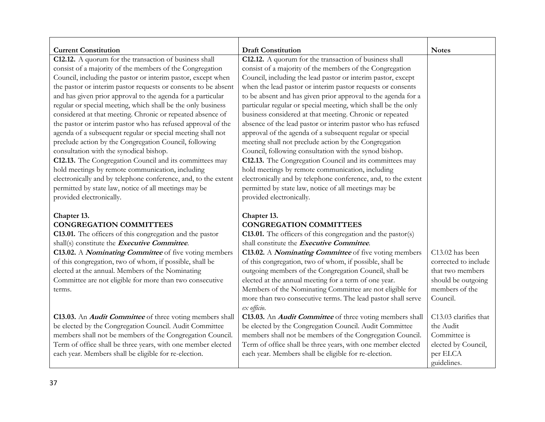| <b>Current Constitution</b>                                                                                                 | <b>Draft Constitution</b>                                                                                                       | <b>Notes</b>          |
|-----------------------------------------------------------------------------------------------------------------------------|---------------------------------------------------------------------------------------------------------------------------------|-----------------------|
| C12.12. A quorum for the transaction of business shall                                                                      | C12.12. A quorum for the transaction of business shall                                                                          |                       |
| consist of a majority of the members of the Congregation                                                                    | consist of a majority of the members of the Congregation                                                                        |                       |
| Council, including the pastor or interim pastor, except when                                                                | Council, including the lead pastor or interim pastor, except                                                                    |                       |
| the pastor or interim pastor requests or consents to be absent                                                              | when the lead pastor or interim pastor requests or consents                                                                     |                       |
| and has given prior approval to the agenda for a particular<br>regular or special meeting, which shall be the only business | to be absent and has given prior approval to the agenda for a<br>particular regular or special meeting, which shall be the only |                       |
| considered at that meeting. Chronic or repeated absence of                                                                  | business considered at that meeting. Chronic or repeated                                                                        |                       |
| the pastor or interim pastor who has refused approval of the                                                                | absence of the lead pastor or interim pastor who has refused                                                                    |                       |
| agenda of a subsequent regular or special meeting shall not                                                                 | approval of the agenda of a subsequent regular or special                                                                       |                       |
| preclude action by the Congregation Council, following                                                                      | meeting shall not preclude action by the Congregation                                                                           |                       |
| consultation with the synodical bishop.                                                                                     | Council, following consultation with the synod bishop.                                                                          |                       |
| C12.13. The Congregation Council and its committees may                                                                     | C12.13. The Congregation Council and its committees may                                                                         |                       |
| hold meetings by remote communication, including                                                                            | hold meetings by remote communication, including                                                                                |                       |
| electronically and by telephone conference, and, to the extent                                                              | electronically and by telephone conference, and, to the extent                                                                  |                       |
| permitted by state law, notice of all meetings may be                                                                       | permitted by state law, notice of all meetings may be                                                                           |                       |
| provided electronically.                                                                                                    | provided electronically.                                                                                                        |                       |
|                                                                                                                             |                                                                                                                                 |                       |
| Chapter 13.                                                                                                                 | Chapter 13.                                                                                                                     |                       |
| <b>CONGREGATION COMMITTEES</b>                                                                                              | <b>CONGREGATION COMMITTEES</b>                                                                                                  |                       |
| C13.01. The officers of this congregation and the pastor                                                                    | <b>C13.01.</b> The officers of this congregation and the pastor(s)                                                              |                       |
| shall(s) constitute the Executive Committee.                                                                                | shall constitute the Executive Committee.                                                                                       |                       |
| C13.02. A <i>Nominating Committee</i> of five voting members                                                                | C13.02. A <i>Nominating Committee</i> of five voting members                                                                    | C13.02 has been       |
| of this congregation, two of whom, if possible, shall be                                                                    | of this congregation, two of whom, if possible, shall be                                                                        | corrected to include  |
| elected at the annual. Members of the Nominating                                                                            | outgoing members of the Congregation Council, shall be                                                                          | that two members      |
| Committee are not eligible for more than two consecutive                                                                    | elected at the annual meeting for a term of one year.                                                                           | should be outgoing    |
| terms.                                                                                                                      | Members of the Nominating Committee are not eligible for                                                                        | members of the        |
|                                                                                                                             | more than two consecutive terms. The lead pastor shall serve                                                                    | Council.              |
|                                                                                                                             | ex officio.                                                                                                                     |                       |
| C13.03. An <i>Audit Committee</i> of three voting members shall                                                             | C13.03. An <i>Audit Committee</i> of three voting members shall                                                                 | C13.03 clarifies that |
| be elected by the Congregation Council. Audit Committee                                                                     | be elected by the Congregation Council. Audit Committee                                                                         | the Audit             |
| members shall not be members of the Congregation Council.                                                                   | members shall not be members of the Congregation Council.                                                                       | Committee is          |
| Term of office shall be three years, with one member elected                                                                | Term of office shall be three years, with one member elected                                                                    | elected by Council,   |
| each year. Members shall be eligible for re-election.                                                                       | each year. Members shall be eligible for re-election.                                                                           | per ELCA              |
|                                                                                                                             |                                                                                                                                 | guidelines.           |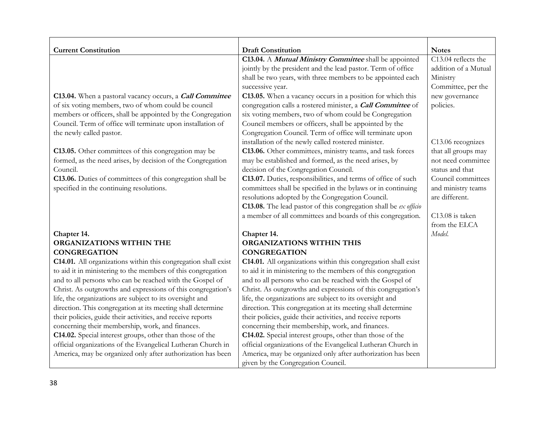| <b>Current Constitution</b>                                    | <b>Draft Constitution</b>                                        | <b>Notes</b>         |
|----------------------------------------------------------------|------------------------------------------------------------------|----------------------|
|                                                                | C13.04. A Mutual Ministry Committee shall be appointed           | C13.04 reflects the  |
|                                                                | jointly by the president and the lead pastor. Term of office     | addition of a Mutual |
|                                                                | shall be two years, with three members to be appointed each      | Ministry             |
|                                                                | successive year.                                                 | Committee, per the   |
| C13.04. When a pastoral vacancy occurs, a Call Committee       | C13.05. When a vacancy occurs in a position for which this       | new governance       |
| of six voting members, two of whom could be council            | congregation calls a rostered minister, a Call Committee of      | policies.            |
| members or officers, shall be appointed by the Congregation    | six voting members, two of whom could be Congregation            |                      |
| Council. Term of office will terminate upon installation of    | Council members or officers, shall be appointed by the           |                      |
| the newly called pastor.                                       | Congregation Council. Term of office will terminate upon         |                      |
|                                                                | installation of the newly called rostered minister.              | C13.06 recognizes    |
| C13.05. Other committees of this congregation may be           | C13.06. Other committees, ministry teams, and task forces        | that all groups may  |
| formed, as the need arises, by decision of the Congregation    | may be established and formed, as the need arises, by            | not need committee   |
| Council.                                                       | decision of the Congregation Council.                            | status and that      |
| C13.06. Duties of committees of this congregation shall be     | C13.07. Duties, responsibilities, and terms of office of such    | Council committees   |
| specified in the continuing resolutions.                       | committees shall be specified in the bylaws or in continuing     | and ministry teams   |
|                                                                | resolutions adopted by the Congregation Council.                 | are different.       |
|                                                                | C13.08. The lead pastor of this congregation shall be ex officio |                      |
|                                                                | a member of all committees and boards of this congregation.      | C13.08 is taken      |
|                                                                |                                                                  | from the ELCA        |
| Chapter 14.                                                    | Chapter 14.                                                      | Model.               |
| ORGANIZATIONS WITHIN THE                                       | ORGANIZATIONS WITHIN THIS                                        |                      |
| <b>CONGREGATION</b>                                            | <b>CONGREGATION</b>                                              |                      |
| C14.01. All organizations within this congregation shall exist | C14.01. All organizations within this congregation shall exist   |                      |
| to aid it in ministering to the members of this congregation   | to aid it in ministering to the members of this congregation     |                      |
| and to all persons who can be reached with the Gospel of       | and to all persons who can be reached with the Gospel of         |                      |
| Christ. As outgrowths and expressions of this congregation's   | Christ. As outgrowths and expressions of this congregation's     |                      |
| life, the organizations are subject to its oversight and       | life, the organizations are subject to its oversight and         |                      |
| direction. This congregation at its meeting shall determine    | direction. This congregation at its meeting shall determine      |                      |
| their policies, guide their activities, and receive reports    | their policies, guide their activities, and receive reports      |                      |
| concerning their membership, work, and finances.               | concerning their membership, work, and finances.                 |                      |
| C14.02. Special interest groups, other than those of the       | C14.02. Special interest groups, other than those of the         |                      |
| official organizations of the Evangelical Lutheran Church in   | official organizations of the Evangelical Lutheran Church in     |                      |
| America, may be organized only after authorization has been    | America, may be organized only after authorization has been      |                      |
|                                                                | given by the Congregation Council.                               |                      |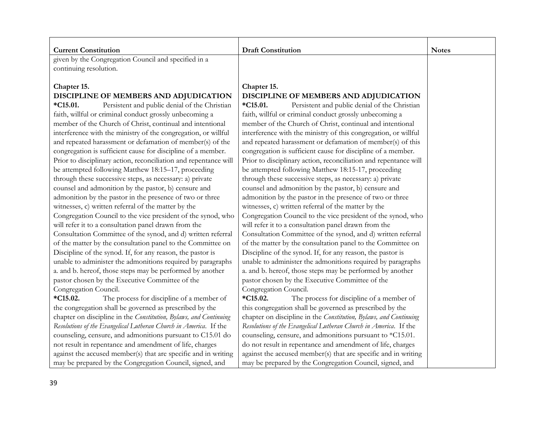| <b>Current Constitution</b>                                        | <b>Draft Constitution</b>                                              | <b>Notes</b> |
|--------------------------------------------------------------------|------------------------------------------------------------------------|--------------|
| given by the Congregation Council and specified in a               |                                                                        |              |
| continuing resolution.                                             |                                                                        |              |
|                                                                    |                                                                        |              |
| Chapter 15.                                                        | Chapter 15.                                                            |              |
| DISCIPLINE OF MEMBERS AND ADJUDICATION                             | DISCIPLINE OF MEMBERS AND ADJUDICATION                                 |              |
| $*C15.01.$<br>Persistent and public denial of the Christian        | *C <sub>15.01</sub> .<br>Persistent and public denial of the Christian |              |
| faith, willful or criminal conduct grossly unbecoming a            | faith, willful or criminal conduct grossly unbecoming a                |              |
| member of the Church of Christ, continual and intentional          | member of the Church of Christ, continual and intentional              |              |
| interference with the ministry of the congregation, or willful     | interference with the ministry of this congregation, or willful        |              |
| and repeated harassment or defamation of member(s) of the          | and repeated harassment or defamation of member(s) of this             |              |
| congregation is sufficient cause for discipline of a member.       | congregation is sufficient cause for discipline of a member.           |              |
| Prior to disciplinary action, reconciliation and repentance will   | Prior to disciplinary action, reconciliation and repentance will       |              |
| be attempted following Matthew 18:15-17, proceeding                | be attempted following Matthew 18:15-17, proceeding                    |              |
| through these successive steps, as necessary: a) private           | through these successive steps, as necessary: a) private               |              |
| counsel and admonition by the pastor, b) censure and               | counsel and admonition by the pastor, b) censure and                   |              |
| admonition by the pastor in the presence of two or three           | admonition by the pastor in the presence of two or three               |              |
| witnesses, c) written referral of the matter by the                | witnesses, c) written referral of the matter by the                    |              |
| Congregation Council to the vice president of the synod, who       | Congregation Council to the vice president of the synod, who           |              |
| will refer it to a consultation panel drawn from the               | will refer it to a consultation panel drawn from the                   |              |
| Consultation Committee of the synod, and d) written referral       | Consultation Committee of the synod, and d) written referral           |              |
| of the matter by the consultation panel to the Committee on        | of the matter by the consultation panel to the Committee on            |              |
| Discipline of the synod. If, for any reason, the pastor is         | Discipline of the synod. If, for any reason, the pastor is             |              |
| unable to administer the admonitions required by paragraphs        | unable to administer the admonitions required by paragraphs            |              |
| a. and b. hereof, those steps may be performed by another          | a. and b. hereof, those steps may be performed by another              |              |
| pastor chosen by the Executive Committee of the                    | pastor chosen by the Executive Committee of the                        |              |
| Congregation Council.                                              | Congregation Council.                                                  |              |
| *C <sub>15.02</sub> .<br>The process for discipline of a member of | *C <sub>15.02</sub> .<br>The process for discipline of a member of     |              |
| the congregation shall be governed as prescribed by the            | this congregation shall be governed as prescribed by the               |              |
| chapter on discipline in the Constitution, Bylaws, and Continuing  | chapter on discipline in the Constitution, Bylaws, and Continuing      |              |
| Resolutions of the Evangelical Lutheran Church in America. If the  | Resolutions of the Evangelical Lutheran Church in America. If the      |              |
| counseling, censure, and admonitions pursuant to C15.01 do         | counseling, censure, and admonitions pursuant to *C15.01.              |              |
| not result in repentance and amendment of life, charges            | do not result in repentance and amendment of life, charges             |              |
| against the accused member(s) that are specific and in writing     | against the accused member(s) that are specific and in writing         |              |
| may be prepared by the Congregation Council, signed, and           | may be prepared by the Congregation Council, signed, and               |              |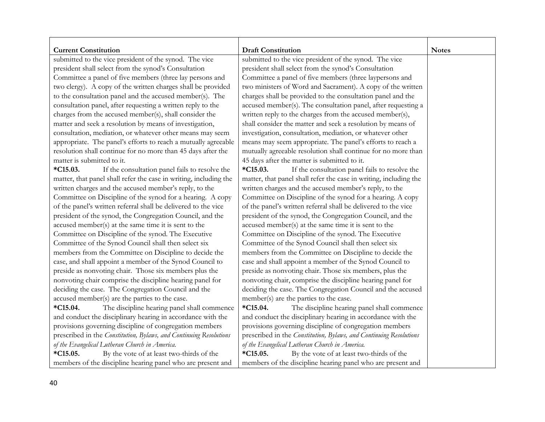| <b>Current Constitution</b><br>submitted to the vice president of the synod. The vice | <b>Draft Constitution</b><br>submitted to the vice president of the synod. The vice | <b>Notes</b> |
|---------------------------------------------------------------------------------------|-------------------------------------------------------------------------------------|--------------|
| president shall select from the synod's Consultation                                  | president shall select from the synod's Consultation                                |              |
| Committee a panel of five members (three lay persons and                              | Committee a panel of five members (three laypersons and                             |              |
| two clergy). A copy of the written charges shall be provided                          | two ministers of Word and Sacrament). A copy of the written                         |              |
| to the consultation panel and the accused member(s). The                              | charges shall be provided to the consultation panel and the                         |              |
| consultation panel, after requesting a written reply to the                           | accused member(s). The consultation panel, after requesting a                       |              |
| charges from the accused member(s), shall consider the                                | written reply to the charges from the accused member(s),                            |              |
| matter and seek a resolution by means of investigation,                               | shall consider the matter and seek a resolution by means of                         |              |
| consultation, mediation, or whatever other means may seem                             | investigation, consultation, mediation, or whatever other                           |              |
| appropriate. The panel's efforts to reach a mutually agreeable                        | means may seem appropriate. The panel's efforts to reach a                          |              |
| resolution shall continue for no more than 45 days after the                          | mutually agreeable resolution shall continue for no more than                       |              |
| matter is submitted to it.                                                            | 45 days after the matter is submitted to it.                                        |              |
| If the consultation panel fails to resolve the<br>$*C15.03.$                          | $*C15.03.$<br>If the consultation panel fails to resolve the                        |              |
| matter, that panel shall refer the case in writing, including the                     | matter, that panel shall refer the case in writing, including the                   |              |
| written charges and the accused member's reply, to the                                | written charges and the accused member's reply, to the                              |              |
| Committee on Discipline of the synod for a hearing. A copy                            | Committee on Discipline of the synod for a hearing. A copy                          |              |
| of the panel's written referral shall be delivered to the vice                        | of the panel's written referral shall be delivered to the vice                      |              |
| president of the synod, the Congregation Council, and the                             | president of the synod, the Congregation Council, and the                           |              |
| accused member(s) at the same time it is sent to the                                  | accused member(s) at the same time it is sent to the                                |              |
| Committee on Discipline of the synod. The Executive                                   | Committee on Discipline of the synod. The Executive                                 |              |
| Committee of the Synod Council shall then select six                                  | Committee of the Synod Council shall then select six                                |              |
| members from the Committee on Discipline to decide the                                | members from the Committee on Discipline to decide the                              |              |
| case, and shall appoint a member of the Synod Council to                              | case and shall appoint a member of the Synod Council to                             |              |
| preside as nonvoting chair. Those six members plus the                                | preside as nonvoting chair. Those six members, plus the                             |              |
| nonvoting chair comprise the discipline hearing panel for                             | nonvoting chair, comprise the discipline hearing panel for                          |              |
| deciding the case. The Congregation Council and the                                   | deciding the case. The Congregation Council and the accused                         |              |
| accused member(s) are the parties to the case.                                        | member(s) are the parties to the case.                                              |              |
| The discipline hearing panel shall commence<br>$*C15.04.$                             | $*C15.04.$<br>The discipline hearing panel shall commence                           |              |
| and conduct the disciplinary hearing in accordance with the                           | and conduct the disciplinary hearing in accordance with the                         |              |
| provisions governing discipline of congregation members                               | provisions governing discipline of congregation members                             |              |
| prescribed in the Constitution, Bylaws, and Continuing Resolutions                    | prescribed in the Constitution, Bylaws, and Continuing Resolutions                  |              |
| of the Evangelical Lutheran Church in America.                                        | of the Evangelical Lutheran Church in America.                                      |              |
| By the vote of at least two-thirds of the<br>$*C15.05.$                               | $*C15.05.$<br>By the vote of at least two-thirds of the                             |              |
| members of the discipline hearing panel who are present and                           | members of the discipline hearing panel who are present and                         |              |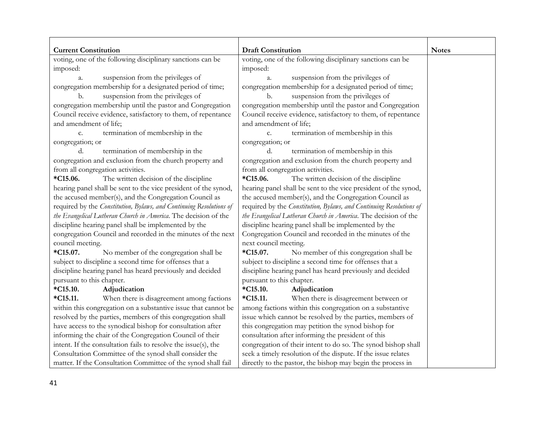| <b>Current Constitution</b><br>voting, one of the following disciplinary sanctions can be     | <b>Draft Constitution</b><br>voting, one of the following disciplinary sanctions can be       | <b>Notes</b> |
|-----------------------------------------------------------------------------------------------|-----------------------------------------------------------------------------------------------|--------------|
|                                                                                               |                                                                                               |              |
| imposed:                                                                                      | imposed:                                                                                      |              |
| suspension from the privileges of<br>a.                                                       | suspension from the privileges of<br>a.                                                       |              |
| congregation membership for a designated period of time;<br>suspension from the privileges of | congregation membership for a designated period of time;<br>suspension from the privileges of |              |
| b.<br>congregation membership until the pastor and Congregation                               | b.<br>congregation membership until the pastor and Congregation                               |              |
| Council receive evidence, satisfactory to them, of repentance                                 | Council receive evidence, satisfactory to them, of repentance                                 |              |
| and amendment of life;                                                                        | and amendment of life;                                                                        |              |
|                                                                                               |                                                                                               |              |
| termination of membership in the<br>c.                                                        | termination of membership in this<br>c.                                                       |              |
| congregation; or<br>d.                                                                        | congregation; or<br>d.                                                                        |              |
| termination of membership in the<br>congregation and exclusion from the church property and   | termination of membership in this<br>congregation and exclusion from the church property and  |              |
| from all congregation activities.                                                             | from all congregation activities.                                                             |              |
| $*C15.06.$<br>The written decision of the discipline                                          | $*C15.06.$<br>The written decision of the discipline                                          |              |
| hearing panel shall be sent to the vice president of the synod,                               | hearing panel shall be sent to the vice president of the synod,                               |              |
| the accused member(s), and the Congregation Council as                                        | the accused member(s), and the Congregation Council as                                        |              |
| required by the Constitution, Bylaws, and Continuing Resolutions of                           | required by the Constitution, Bylaws, and Continuing Resolutions of                           |              |
| the Evangelical Lutheran Church in America. The decision of the                               | the Evangelical Lutheran Church in America. The decision of the                               |              |
| discipline hearing panel shall be implemented by the                                          | discipline hearing panel shall be implemented by the                                          |              |
| congregation Council and recorded in the minutes of the next                                  | Congregation Council and recorded in the minutes of the                                       |              |
| council meeting.                                                                              | next council meeting.                                                                         |              |
| $*C15.07.$<br>No member of the congregation shall be                                          | *C <sub>15.07</sub> .<br>No member of this congregation shall be                              |              |
| subject to discipline a second time for offenses that a                                       | subject to discipline a second time for offenses that a                                       |              |
| discipline hearing panel has heard previously and decided                                     | discipline hearing panel has heard previously and decided                                     |              |
| pursuant to this chapter.                                                                     | pursuant to this chapter.                                                                     |              |
| $*C15.10.$<br>Adjudication                                                                    | $*C15.10.$<br>Adjudication                                                                    |              |
| $*C15.11.$<br>When there is disagreement among factions                                       | $*C15.11.$<br>When there is disagreement between or                                           |              |
| within this congregation on a substantive issue that cannot be                                | among factions within this congregation on a substantive                                      |              |
| resolved by the parties, members of this congregation shall                                   | issue which cannot be resolved by the parties, members of                                     |              |
| have access to the synodical bishop for consultation after                                    | this congregation may petition the synod bishop for                                           |              |
| informing the chair of the Congregation Council of their                                      | consultation after informing the president of this                                            |              |
| intent. If the consultation fails to resolve the issue(s), the                                | congregation of their intent to do so. The synod bishop shall                                 |              |
| Consultation Committee of the synod shall consider the                                        | seek a timely resolution of the dispute. If the issue relates                                 |              |
| matter. If the Consultation Committee of the synod shall fail                                 | directly to the pastor, the bishop may begin the process in                                   |              |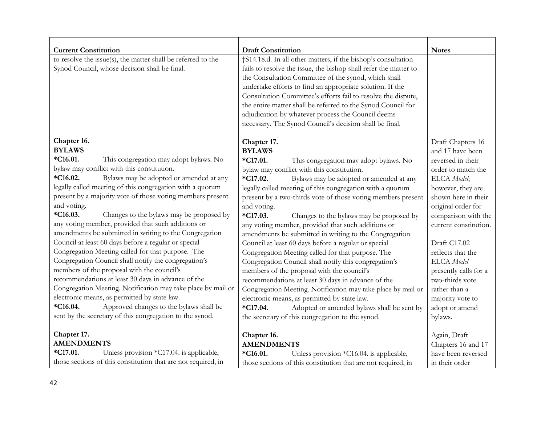| <b>Current Constitution</b>                                                                                                                                                                                                                                                                                                                                                                                                                                                                                                                                                                                                                                                                                                                                                                                                                                                                                                                                                                                               | <b>Draft Constitution</b>                                                                                                                                                                                                                                                                                                                                                                                                                                                                                                                                                                                                                                                                                                                                                                                                                                                                                                                                                                                                 | <b>Notes</b>                                                                                                                                                                                                                                                                                                                                                                       |
|---------------------------------------------------------------------------------------------------------------------------------------------------------------------------------------------------------------------------------------------------------------------------------------------------------------------------------------------------------------------------------------------------------------------------------------------------------------------------------------------------------------------------------------------------------------------------------------------------------------------------------------------------------------------------------------------------------------------------------------------------------------------------------------------------------------------------------------------------------------------------------------------------------------------------------------------------------------------------------------------------------------------------|---------------------------------------------------------------------------------------------------------------------------------------------------------------------------------------------------------------------------------------------------------------------------------------------------------------------------------------------------------------------------------------------------------------------------------------------------------------------------------------------------------------------------------------------------------------------------------------------------------------------------------------------------------------------------------------------------------------------------------------------------------------------------------------------------------------------------------------------------------------------------------------------------------------------------------------------------------------------------------------------------------------------------|------------------------------------------------------------------------------------------------------------------------------------------------------------------------------------------------------------------------------------------------------------------------------------------------------------------------------------------------------------------------------------|
| to resolve the issue(s), the matter shall be referred to the<br>Synod Council, whose decision shall be final.                                                                                                                                                                                                                                                                                                                                                                                                                                                                                                                                                                                                                                                                                                                                                                                                                                                                                                             | †S14.18.d. In all other matters, if the bishop's consultation<br>fails to resolve the issue, the bishop shall refer the matter to<br>the Consultation Committee of the synod, which shall<br>undertake efforts to find an appropriate solution. If the<br>Consultation Committee's efforts fail to resolve the dispute,<br>the entire matter shall be referred to the Synod Council for<br>adjudication by whatever process the Council deems<br>necessary. The Synod Council's decision shall be final.                                                                                                                                                                                                                                                                                                                                                                                                                                                                                                                  |                                                                                                                                                                                                                                                                                                                                                                                    |
| Chapter 16.<br><b>BYLAWS</b><br>*C16.01.<br>This congregation may adopt bylaws. No<br>bylaw may conflict with this constitution.<br>*C16.02.<br>Bylaws may be adopted or amended at any<br>legally called meeting of this congregation with a quorum<br>present by a majority vote of those voting members present<br>and voting.<br>$*C16.03.$<br>Changes to the bylaws may be proposed by<br>any voting member, provided that such additions or<br>amendments be submitted in writing to the Congregation<br>Council at least 60 days before a regular or special<br>Congregation Meeting called for that purpose. The<br>Congregation Council shall notify the congregation's<br>members of the proposal with the council's<br>recommendations at least 30 days in advance of the<br>Congregation Meeting. Notification may take place by mail or<br>electronic means, as permitted by state law.<br>Approved changes to the bylaws shall be<br>$*C16.04.$<br>sent by the secretary of this congregation to the synod. | Chapter 17.<br><b>BYLAWS</b><br>*C17.01.<br>This congregation may adopt bylaws. No<br>bylaw may conflict with this constitution.<br>$*C17.02.$<br>Bylaws may be adopted or amended at any<br>legally called meeting of this congregation with a quorum<br>present by a two-thirds vote of those voting members present<br>and voting.<br>$*C17.03.$<br>Changes to the bylaws may be proposed by<br>any voting member, provided that such additions or<br>amendments be submitted in writing to the Congregation<br>Council at least 60 days before a regular or special<br>Congregation Meeting called for that purpose. The<br>Congregation Council shall notify this congregation's<br>members of the proposal with the council's<br>recommendations at least 30 days in advance of the<br>Congregation Meeting. Notification may take place by mail or<br>electronic means, as permitted by state law.<br>Adopted or amended bylaws shall be sent by<br>$*C17.04.$<br>the secretary of this congregation to the synod. | Draft Chapters 16<br>and 17 have been<br>reversed in their<br>order to match the<br>ELCA Model;<br>however, they are<br>shown here in their<br>original order for<br>comparison with the<br>current constitution.<br>Draft C17.02<br>reflects that the<br>ELCA Model<br>presently calls for a<br>two-thirds vote<br>rather than a<br>majority vote to<br>adopt or amend<br>bylaws. |
| Chapter 17.<br><b>AMENDMENTS</b><br>Unless provision *C17.04. is applicable,<br>*C17.01.<br>those sections of this constitution that are not required, in                                                                                                                                                                                                                                                                                                                                                                                                                                                                                                                                                                                                                                                                                                                                                                                                                                                                 | Chapter 16.<br><b>AMENDMENTS</b><br>*C16.01.<br>Unless provision *C16.04. is applicable,<br>those sections of this constitution that are not required, in                                                                                                                                                                                                                                                                                                                                                                                                                                                                                                                                                                                                                                                                                                                                                                                                                                                                 | Again, Draft<br>Chapters 16 and 17<br>have been reversed<br>in their order                                                                                                                                                                                                                                                                                                         |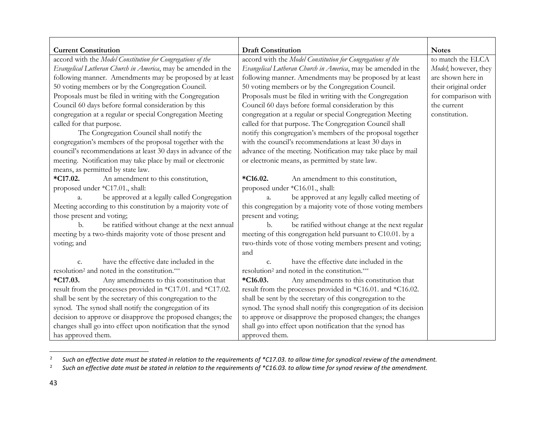| <b>Current Constitution</b><br>accord with the Model Constitution for Congregations of the | <b>Draft Constitution</b><br>accord with the Model Constitution for Congregations of the | <b>Notes</b><br>to match the ELCA |
|--------------------------------------------------------------------------------------------|------------------------------------------------------------------------------------------|-----------------------------------|
| Evangelical Lutheran Church in America, may be amended in the                              | Evangelical Lutheran Church in America, may be amended in the                            | Model; however, they              |
| following manner. Amendments may be proposed by at least                                   | following manner. Amendments may be proposed by at least                                 | are shown here in                 |
| 50 voting members or by the Congregation Council.                                          | 50 voting members or by the Congregation Council.                                        | their original order              |
| Proposals must be filed in writing with the Congregation                                   | Proposals must be filed in writing with the Congregation                                 | for comparison with               |
| Council 60 days before formal consideration by this                                        | Council 60 days before formal consideration by this                                      | the current                       |
| congregation at a regular or special Congregation Meeting                                  | congregation at a regular or special Congregation Meeting                                | constitution.                     |
| called for that purpose.                                                                   | called for that purpose. The Congregation Council shall                                  |                                   |
| The Congregation Council shall notify the                                                  | notify this congregation's members of the proposal together                              |                                   |
| congregation's members of the proposal together with the                                   | with the council's recommendations at least 30 days in                                   |                                   |
| council's recommendations at least 30 days in advance of the                               | advance of the meeting. Notification may take place by mail                              |                                   |
| meeting. Notification may take place by mail or electronic                                 | or electronic means, as permitted by state law.                                          |                                   |
| means, as permitted by state law.                                                          |                                                                                          |                                   |
| $*C17.02.$<br>An amendment to this constitution,                                           | $*C16.02.$<br>An amendment to this constitution,                                         |                                   |
| proposed under *C17.01., shall:                                                            | proposed under *C16.01., shall:                                                          |                                   |
| be approved at a legally called Congregation<br>a.                                         | be approved at any legally called meeting of<br>$a_{\cdot}$                              |                                   |
| Meeting according to this constitution by a majority vote of                               | this congregation by a majority vote of those voting members                             |                                   |
| those present and voting;                                                                  | present and voting;                                                                      |                                   |
| be ratified without change at the next annual<br>b.                                        | be ratified without change at the next regular<br>b.                                     |                                   |
| meeting by a two-thirds majority vote of those present and                                 | meeting of this congregation held pursuant to C10.01. by a                               |                                   |
| voting; and                                                                                | two-thirds vote of those voting members present and voting;                              |                                   |
|                                                                                            | and                                                                                      |                                   |
| have the effective date included in the<br>$C_{\bullet}$                                   | have the effective date included in the<br>$C_{\cdot}$                                   |                                   |
| resolution <sup>2</sup> and noted in the constitution.***                                  | resolution <sup>2</sup> and noted in the constitution.***                                |                                   |
| $*C17.03.$<br>Any amendments to this constitution that                                     | $*C16.03.$<br>Any amendments to this constitution that                                   |                                   |
| result from the processes provided in *C17.01. and *C17.02.                                | result from the processes provided in *C16.01. and *C16.02.                              |                                   |
| shall be sent by the secretary of this congregation to the                                 | shall be sent by the secretary of this congregation to the                               |                                   |
| synod. The synod shall notify the congregation of its                                      | synod. The synod shall notify this congregation of its decision                          |                                   |
| decision to approve or disapprove the proposed changes; the                                | to approve or disapprove the proposed changes; the changes                               |                                   |
| changes shall go into effect upon notification that the synod                              | shall go into effect upon notification that the synod has                                |                                   |
| has approved them.                                                                         | approved them.                                                                           |                                   |

<sup>2</sup> *Such an effective date must be stated in relation to the requirements of \*C17.03. to allow time for synodical review of the amendment.*

<sup>2</sup> *Such an effective date must be stated in relation to the requirements of \*C16.03. to allow time for synod review of the amendment.*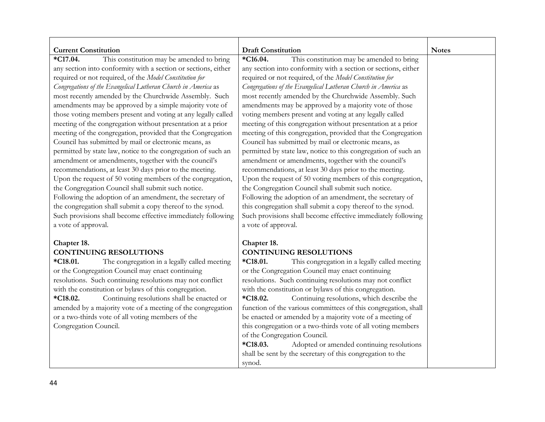| <b>Current Constitution</b>                                                                                                                                                                                                                                                                                                                                                                                                                                                                                                                                                                                                                                                                                                                                                                                                                                                                                                                                                                                                                                                                                                                                | <b>Draft Constitution</b>                                                                                                                                                                                                                                                                                                                                                                                                                                                                                                                                                                                                                                                                                                                                                                                                                                                                                                                                                                                                                                                                                                                                | <b>Notes</b> |
|------------------------------------------------------------------------------------------------------------------------------------------------------------------------------------------------------------------------------------------------------------------------------------------------------------------------------------------------------------------------------------------------------------------------------------------------------------------------------------------------------------------------------------------------------------------------------------------------------------------------------------------------------------------------------------------------------------------------------------------------------------------------------------------------------------------------------------------------------------------------------------------------------------------------------------------------------------------------------------------------------------------------------------------------------------------------------------------------------------------------------------------------------------|----------------------------------------------------------------------------------------------------------------------------------------------------------------------------------------------------------------------------------------------------------------------------------------------------------------------------------------------------------------------------------------------------------------------------------------------------------------------------------------------------------------------------------------------------------------------------------------------------------------------------------------------------------------------------------------------------------------------------------------------------------------------------------------------------------------------------------------------------------------------------------------------------------------------------------------------------------------------------------------------------------------------------------------------------------------------------------------------------------------------------------------------------------|--------------|
| This constitution may be amended to bring<br>*C17.04.<br>any section into conformity with a section or sections, either<br>required or not required, of the Model Constitution for<br>Congregations of the Evangelical Lutheran Church in America as<br>most recently amended by the Churchwide Assembly. Such<br>amendments may be approved by a simple majority vote of<br>those voting members present and voting at any legally called<br>meeting of the congregation without presentation at a prior<br>meeting of the congregation, provided that the Congregation<br>Council has submitted by mail or electronic means, as<br>permitted by state law, notice to the congregation of such an<br>amendment or amendments, together with the council's<br>recommendations, at least 30 days prior to the meeting.<br>Upon the request of 50 voting members of the congregation,<br>the Congregation Council shall submit such notice.<br>Following the adoption of an amendment, the secretary of<br>the congregation shall submit a copy thereof to the synod.<br>Such provisions shall become effective immediately following<br>a vote of approval. | *C16.04.<br>This constitution may be amended to bring<br>any section into conformity with a section or sections, either<br>required or not required, of the Model Constitution for<br>Congregations of the Evangelical Lutheran Church in America as<br>most recently amended by the Churchwide Assembly. Such<br>amendments may be approved by a majority vote of those<br>voting members present and voting at any legally called<br>meeting of this congregation without presentation at a prior<br>meeting of this congregation, provided that the Congregation<br>Council has submitted by mail or electronic means, as<br>permitted by state law, notice to this congregation of such an<br>amendment or amendments, together with the council's<br>recommendations, at least 30 days prior to the meeting.<br>Upon the request of 50 voting members of this congregation,<br>the Congregation Council shall submit such notice.<br>Following the adoption of an amendment, the secretary of<br>this congregation shall submit a copy thereof to the synod.<br>Such provisions shall become effective immediately following<br>a vote of approval. |              |
| Chapter 18.<br><b>CONTINUING RESOLUTIONS</b><br>*C18.01.<br>The congregation in a legally called meeting<br>or the Congregation Council may enact continuing<br>resolutions. Such continuing resolutions may not conflict<br>with the constitution or bylaws of this congregation.<br>Continuing resolutions shall be enacted or<br>*C18.02.<br>amended by a majority vote of a meeting of the congregation<br>or a two-thirds vote of all voting members of the<br>Congregation Council.                                                                                                                                                                                                                                                                                                                                                                                                                                                                                                                                                                                                                                                                  | Chapter 18.<br><b>CONTINUING RESOLUTIONS</b><br>*C18.01.<br>This congregation in a legally called meeting<br>or the Congregation Council may enact continuing<br>resolutions. Such continuing resolutions may not conflict<br>with the constitution or bylaws of this congregation.<br>Continuing resolutions, which describe the<br>*C18.02.<br>function of the various committees of this congregation, shall<br>be enacted or amended by a majority vote of a meeting of<br>this congregation or a two-thirds vote of all voting members<br>of the Congregation Council.<br>*C18.03.<br>Adopted or amended continuing resolutions<br>shall be sent by the secretary of this congregation to the<br>synod.                                                                                                                                                                                                                                                                                                                                                                                                                                             |              |